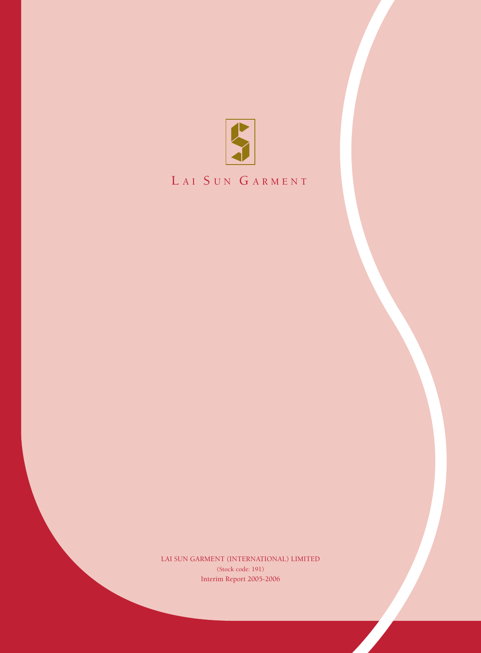

# LAI SUN GARMENT

Interim Report 2005-2006 LAI SUN GARMENT (INTERNATIONAL) LIMITED (Stock code: 191)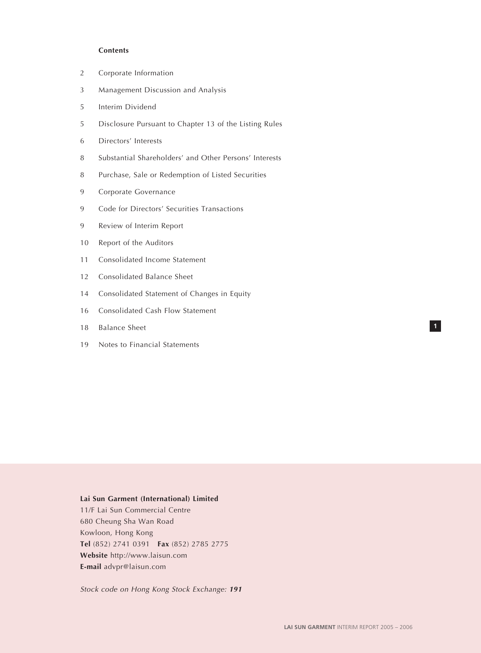### **Contents**

- 2 Corporate Information
- 3 Management Discussion and Analysis
- 5 Interim Dividend
- 5 Disclosure Pursuant to Chapter 13 of the Listing Rules
- 6 Directors' Interests
- 8 Substantial Shareholders' and Other Persons' Interests
- 8 Purchase, Sale or Redemption of Listed Securities
- 9 Corporate Governance
- 9 Code for Directors' Securities Transactions
- 9 Review of Interim Report
- 10 Report of the Auditors
- 11 Consolidated Income Statement
- 12 Consolidated Balance Sheet
- 14 Consolidated Statement of Changes in Equity
- 16 Consolidated Cash Flow Statement
- 18 Balance Sheet
- 19 Notes to Financial Statements

# **Lai Sun Garment (International) Limited**

11/F Lai Sun Commercial Centre 680 Cheung Sha Wan Road Kowloon, Hong Kong **Tel** (852) 2741 0391 **Fax** (852) 2785 2775 **Website** http://www.laisun.com **E-mail** advpr@laisun.com

Stock code on Hong Kong Stock Exchange: **<sup>191</sup>**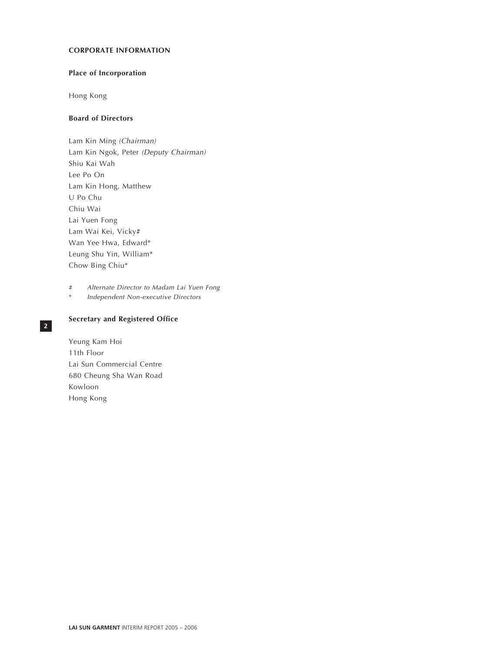# **CORPORATE INFORMATION**

# **Place of Incorporation**

Hong Kong

# **Board of Directors**

Lam Kin Ming (Chairman) Lam Kin Ngok, Peter (Deputy Chairman) Shiu Kai Wah Lee Po On Lam Kin Hong, Matthew U Po Chu Chiu Wai Lai Yuen Fong Lam Wai Kei, Vicky# Wan Yee Hwa, Edward\* Leung Shu Yin, William\* Chow Bing Chiu\*

# Alternate Director to Madam Lai Yuen Fong

\* Independent Non-executive Directors

# **Secretary and Registered Office**

Yeung Kam Hoi 11th Floor Lai Sun Commercial Centre 680 Cheung Sha Wan Road Kowloon Hong Kong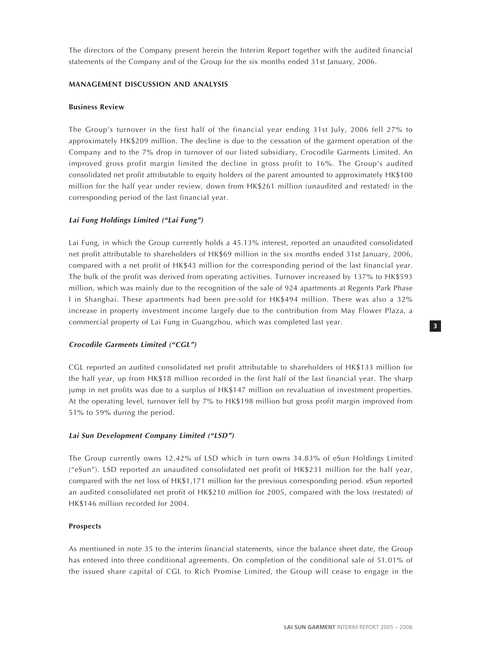The directors of the Company present herein the Interim Report together with the audited financial statements of the Company and of the Group for the six months ended 31st January, 2006.

# **MANAGEMENT DISCUSSION AND ANALYSIS**

# **Business Review**

The Group's turnover in the first half of the financial year ending 31st July, 2006 fell 27% to approximately HK\$209 million. The decline is due to the cessation of the garment operation of the Company and to the 7% drop in turnover of our listed subsidiary, Crocodile Garments Limited. An improved gross profit margin limited the decline in gross profit to 16%. The Group's audited consolidated net profit attributable to equity holders of the parent amounted to approximately HK\$100 million for the half year under review, down from HK\$261 million (unaudited and restated) in the corresponding period of the last financial year.

# **Lai Fung Holdings Limited ("Lai Fung")**

Lai Fung, in which the Group currently holds a 45.13% interest, reported an unaudited consolidated net profit attributable to shareholders of HK\$69 million in the six months ended 31st January, 2006, compared with a net profit of HK\$43 million for the corresponding period of the last financial year. The bulk of the profit was derived from operating activities. Turnover increased by 137% to HK\$593 million, which was mainly due to the recognition of the sale of 924 apartments at Regents Park Phase I in Shanghai. These apartments had been pre-sold for HK\$494 million. There was also a 32% increase in property investment income largely due to the contribution from May Flower Plaza, a commercial property of Lai Fung in Guangzhou, which was completed last year.

# **Crocodile Garments Limited ("CGL")**

CGL reported an audited consolidated net profit attributable to shareholders of HK\$133 million for the half year, up from HK\$18 million recorded in the first half of the last financial year. The sharp jump in net profits was due to a surplus of HK\$147 million on revaluation of investment properties. At the operating level, turnover fell by 7% to HK\$198 million but gross profit margin improved from 51% to 59% during the period.

# **Lai Sun Development Company Limited ("LSD")**

The Group currently owns 12.42% of LSD which in turn owns 34.83% of eSun Holdings Limited ("eSun"). LSD reported an unaudited consolidated net profit of HK\$231 million for the half year, compared with the net loss of HK\$1,171 million for the previous corresponding period. eSun reported an audited consolidated net profit of HK\$210 million for 2005, compared with the loss (restated) of HK\$146 million recorded for 2004.

# **Prospects**

As mentioned in note 35 to the interim financial statements, since the balance sheet date, the Group has entered into three conditional agreements. On completion of the conditional sale of 51.01% of the issued share capital of CGL to Rich Promise Limited, the Group will cease to engage in the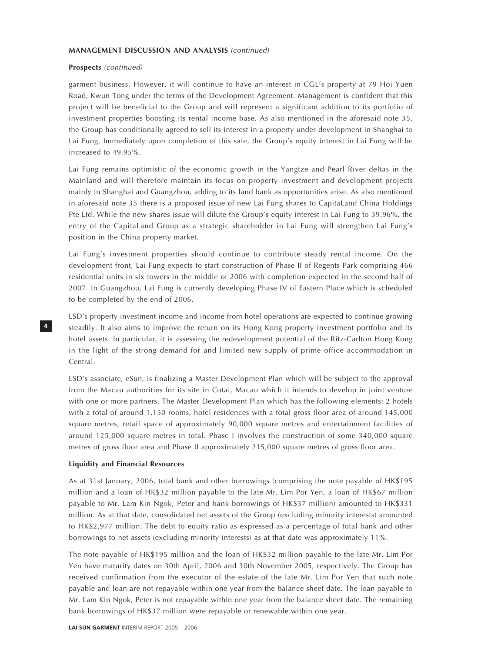### **MANAGEMENT DISCUSSION AND ANALYSIS** (continued)

### **Prospects** (continued)

garment business. However, it will continue to have an interest in CGL's property at 79 Hoi Yuen Road, Kwun Tong under the terms of the Development Agreement. Management is confident that this project will be beneficial to the Group and will represent a significant addition to its portfolio of investment properties boosting its rental income base. As also mentioned in the aforesaid note 35, the Group has conditionally agreed to sell its interest in a property under development in Shanghai to Lai Fung. Immediately upon completion of this sale, the Group's equity interest in Lai Fung will be increased to 49.95%.

Lai Fung remains optimistic of the economic growth in the Yangtze and Pearl River deltas in the Mainland and will therefore maintain its focus on property investment and development projects mainly in Shanghai and Guangzhou, adding to its land bank as opportunities arise. As also mentioned in aforesaid note 35 there is a proposed issue of new Lai Fung shares to CapitaLand China Holdings Pte Ltd. While the new shares issue will dilute the Group's equity interest in Lai Fung to 39.96%, the entry of the CapitaLand Group as a strategic shareholder in Lai Fung will strengthen Lai Fung's position in the China property market.

Lai Fung's investment properties should continue to contribute steady rental income. On the development front, Lai Fung expects to start construction of Phase II of Regents Park comprising 466 residential units in six towers in the middle of 2006 with completion expected in the second half of 2007. In Guangzhou, Lai Fung is currently developing Phase IV of Eastern Place which is scheduled to be completed by the end of 2006.

LSD's property investment income and income from hotel operations are expected to continue growing steadily. It also aims to improve the return on its Hong Kong property investment portfolio and its hotel assets. In particular, it is assessing the redevelopment potential of the Ritz-Carlton Hong Kong in the light of the strong demand for and limited new supply of prime office accommodation in Central.

LSD's associate, eSun, is finalizing a Master Development Plan which will be subject to the approval from the Macau authorities for its site in Cotai, Macau which it intends to develop in joint venture with one or more partners. The Master Development Plan which has the following elements: 2 hotels with a total of around 1,150 rooms, hotel residences with a total gross floor area of around 145,000 square metres, retail space of approximately 90,000 square metres and entertainment facilities of around 125,000 square metres in total. Phase I involves the construction of some 340,000 square metres of gross floor area and Phase II approximately 215,000 square metres of gross floor area.

### **Liquidity and Financial Resources**

**4**

As at 31st January, 2006, total bank and other borrowings (comprising the note payable of HK\$195 million and a loan of HK\$32 million payable to the late Mr. Lim Por Yen, a loan of HK\$67 million payable to Mr. Lam Kin Ngok, Peter and bank borrowings of HK\$37 million) amounted to HK\$331 million. As at that date, consolidated net assets of the Group (excluding minority interests) amounted to HK\$2,977 million. The debt to equity ratio as expressed as a percentage of total bank and other borrowings to net assets (excluding minority interests) as at that date was approximately 11%.

The note payable of HK\$195 million and the loan of HK\$32 million payable to the late Mr. Lim Por Yen have maturity dates on 30th April, 2006 and 30th November 2005, respectively. The Group has received confirmation from the executor of the estate of the late Mr. Lim Por Yen that such note payable and loan are not repayable within one year from the balance sheet date. The loan payable to Mr. Lam Kin Ngok, Peter is not repayable within one year from the balance sheet date. The remaining bank borrowings of HK\$37 million were repayable or renewable within one year.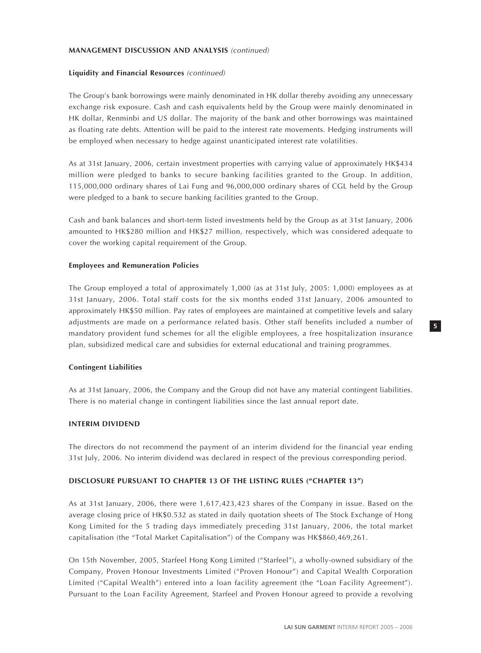# **MANAGEMENT DISCUSSION AND ANALYSIS** (continued)

# **Liquidity and Financial Resources** (continued)

The Group's bank borrowings were mainly denominated in HK dollar thereby avoiding any unnecessary exchange risk exposure. Cash and cash equivalents held by the Group were mainly denominated in HK dollar, Renminbi and US dollar. The majority of the bank and other borrowings was maintained as floating rate debts. Attention will be paid to the interest rate movements. Hedging instruments will be employed when necessary to hedge against unanticipated interest rate volatilities.

As at 31st January, 2006, certain investment properties with carrying value of approximately HK\$434 million were pledged to banks to secure banking facilities granted to the Group. In addition, 115,000,000 ordinary shares of Lai Fung and 96,000,000 ordinary shares of CGL held by the Group were pledged to a bank to secure banking facilities granted to the Group.

Cash and bank balances and short-term listed investments held by the Group as at 31st January, 2006 amounted to HK\$280 million and HK\$27 million, respectively, which was considered adequate to cover the working capital requirement of the Group.

# **Employees and Remuneration Policies**

The Group employed a total of approximately 1,000 (as at 31st July, 2005: 1,000) employees as at 31st January, 2006. Total staff costs for the six months ended 31st January, 2006 amounted to approximately HK\$50 million. Pay rates of employees are maintained at competitive levels and salary adjustments are made on a performance related basis. Other staff benefits included a number of mandatory provident fund schemes for all the eligible employees, a free hospitalization insurance plan, subsidized medical care and subsidies for external educational and training programmes.

# **Contingent Liabilities**

As at 31st January, 2006, the Company and the Group did not have any material contingent liabilities. There is no material change in contingent liabilities since the last annual report date.

# **INTERIM DIVIDEND**

The directors do not recommend the payment of an interim dividend for the financial year ending 31st July, 2006. No interim dividend was declared in respect of the previous corresponding period.

# **DISCLOSURE PURSUANT TO CHAPTER 13 OF THE LISTING RULES ("CHAPTER 13")**

As at 31st January, 2006, there were 1,617,423,423 shares of the Company in issue. Based on the average closing price of HK\$0.532 as stated in daily quotation sheets of The Stock Exchange of Hong Kong Limited for the 5 trading days immediately preceding 31st January, 2006, the total market capitalisation (the "Total Market Capitalisation") of the Company was HK\$860,469,261.

On 15th November, 2005, Starfeel Hong Kong Limited ("Starfeel"), a wholly-owned subsidiary of the Company, Proven Honour Investments Limited ("Proven Honour") and Capital Wealth Corporation Limited ("Capital Wealth") entered into a loan facility agreement (the "Loan Facility Agreement"). Pursuant to the Loan Facility Agreement, Starfeel and Proven Honour agreed to provide a revolving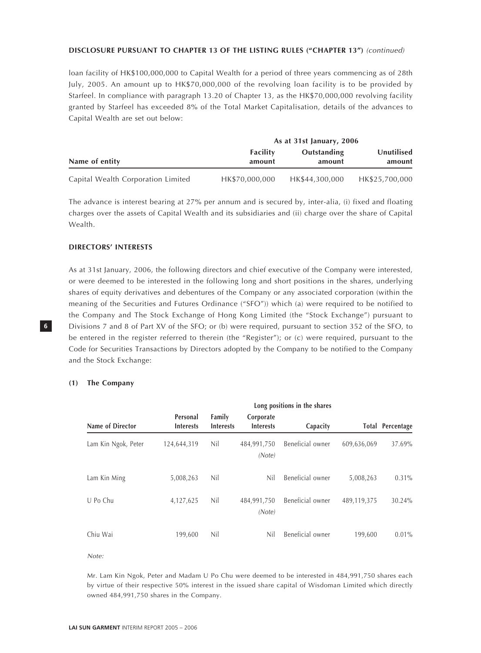# **DISCLOSURE PURSUANT TO CHAPTER 13 OF THE LISTING RULES ("CHAPTER 13")** (continued)

loan facility of HK\$100,000,000 to Capital Wealth for a period of three years commencing as of 28th July, 2005. An amount up to HK\$70,000,000 of the revolving loan facility is to be provided by Starfeel. In compliance with paragraph 13.20 of Chapter 13, as the HK\$70,000,000 revolving facility granted by Starfeel has exceeded 8% of the Total Market Capitalisation, details of the advances to Capital Wealth are set out below:

|                                    |                           | As at 31st January, 2006 |                      |
|------------------------------------|---------------------------|--------------------------|----------------------|
| Name of entity                     | <b>Facility</b><br>amount | Outstanding<br>amount    | Unutilised<br>amount |
| Capital Wealth Corporation Limited | HK\$70,000,000            | HK\$44,300,000           | HK\$25,700,000       |

The advance is interest bearing at 27% per annum and is secured by, inter-alia, (i) fixed and floating charges over the assets of Capital Wealth and its subsidiaries and (ii) charge over the share of Capital Wealth.

# **DIRECTORS' INTERESTS**

As at 31st January, 2006, the following directors and chief executive of the Company were interested, or were deemed to be interested in the following long and short positions in the shares, underlying shares of equity derivatives and debentures of the Company or any associated corporation (within the meaning of the Securities and Futures Ordinance ("SFO")) which (a) were required to be notified to the Company and The Stock Exchange of Hong Kong Limited (the "Stock Exchange") pursuant to Divisions 7 and 8 of Part XV of the SFO; or (b) were required, pursuant to section 352 of the SFO, to be entered in the register referred to therein (the "Register"); or (c) were required, pursuant to the Code for Securities Transactions by Directors adopted by the Company to be notified to the Company and the Stock Exchange:

### **(1) The Company**

|                     |                              |                            |                               | Long positions in the shares |             |                         |
|---------------------|------------------------------|----------------------------|-------------------------------|------------------------------|-------------|-------------------------|
| Name of Director    | Personal<br><b>Interests</b> | Family<br><b>Interests</b> | Corporate<br><b>Interests</b> | Capacity                     |             | <b>Total Percentage</b> |
| Lam Kin Ngok, Peter | 124,644,319                  | Nil                        | 484,991,750<br>(Note)         | Beneficial owner             | 609,636,069 | 37.69%                  |
| Lam Kin Ming        | 5,008,263                    | Nil                        | Nil                           | Beneficial owner             | 5,008,263   | $0.31\%$                |
| U Po Chu            | 4,127,625                    | Nil                        | 484,991,750<br>(Note)         | Beneficial owner             | 489,119,375 | 30.24%                  |
| Chiu Wai            | 199,600                      | Nil                        | Nil                           | Beneficial owner             | 199,600     | $0.01\%$                |

Note:

Mr. Lam Kin Ngok, Peter and Madam U Po Chu were deemed to be interested in 484,991,750 shares each by virtue of their respective 50% interest in the issued share capital of Wisdoman Limited which directly owned 484,991,750 shares in the Company.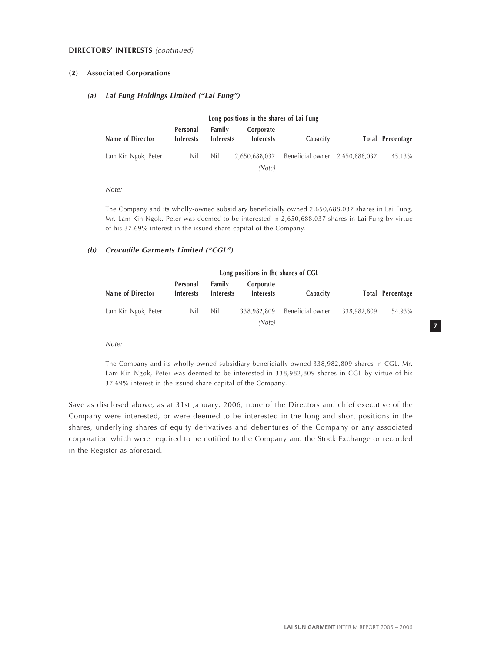### **DIRECTORS' INTERESTS** (continued)

# **(2) Associated Corporations**

# **(a) Lai Fung Holdings Limited ("Lai Fung")**

| Long positions in the shares of Lai Fung |                              |                            |                               |                                |  |                  |  |  |
|------------------------------------------|------------------------------|----------------------------|-------------------------------|--------------------------------|--|------------------|--|--|
| Name of Director                         | Personal<br><b>Interests</b> | Family<br><b>Interests</b> | Corporate<br><b>Interests</b> | Capacity                       |  | Total Percentage |  |  |
| Lam Kin Ngok, Peter                      | Nil                          | Nil                        | 2,650,688,037                 | Beneficial owner 2,650,688,037 |  | 45.13%           |  |  |
|                                          |                              |                            | (Note)                        |                                |  |                  |  |  |

Note:

The Company and its wholly-owned subsidiary beneficially owned 2,650,688,037 shares in Lai Fung. Mr. Lam Kin Ngok, Peter was deemed to be interested in 2,650,688,037 shares in Lai Fung by virtue of his 37.69% interest in the issued share capital of the Company.

### **(b) Crocodile Garments Limited ("CGL")**

| Long positions in the shares of CGL |                              |                                   |                               |                  |             |                  |  |
|-------------------------------------|------------------------------|-----------------------------------|-------------------------------|------------------|-------------|------------------|--|
| Name of Director                    | Personal<br><b>Interests</b> | <b>Family</b><br><b>Interests</b> | Corporate<br><b>Interests</b> | Capacity         |             | Total Percentage |  |
| Lam Kin Ngok, Peter                 | Nil                          | Nil                               | 338,982,809<br>(Note)         | Beneficial owner | 338,982,809 | 54.93%           |  |

Note:

The Company and its wholly-owned subsidiary beneficially owned 338,982,809 shares in CGL. Mr. Lam Kin Ngok, Peter was deemed to be interested in 338,982,809 shares in CGL by virtue of his 37.69% interest in the issued share capital of the Company.

**LAI SUN GARMENT** INTERIM REPORT 2005 – 2006

**7**

Save as disclosed above, as at 31st January, 2006, none of the Directors and chief executive of the Company were interested, or were deemed to be interested in the long and short positions in the shares, underlying shares of equity derivatives and debentures of the Company or any associated corporation which were required to be notified to the Company and the Stock Exchange or recorded in the Register as aforesaid.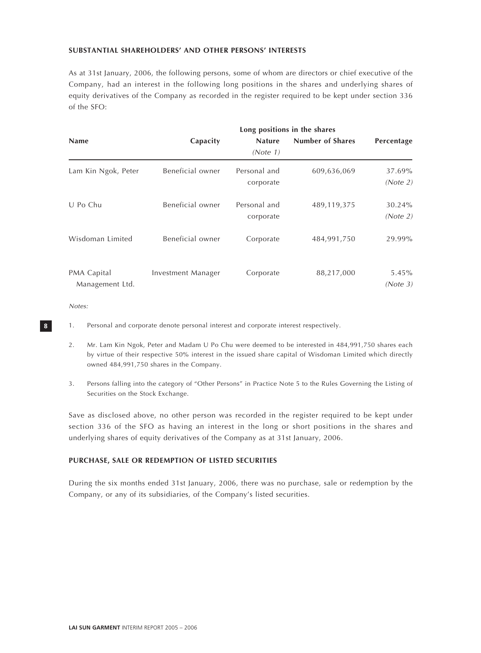# **SUBSTANTIAL SHAREHOLDERS' AND OTHER PERSONS' INTERESTS**

As at 31st January, 2006, the following persons, some of whom are directors or chief executive of the Company, had an interest in the following long positions in the shares and underlying shares of equity derivatives of the Company as recorded in the register required to be kept under section 336 of the SFO:

|                                |                    | Long positions in the shares |                  |                    |  |  |  |  |  |
|--------------------------------|--------------------|------------------------------|------------------|--------------------|--|--|--|--|--|
| <b>Name</b>                    | Capacity           | <b>Nature</b><br>(Note 1)    | Number of Shares | Percentage         |  |  |  |  |  |
| Lam Kin Ngok, Peter            | Beneficial owner   | Personal and<br>corporate    | 609,636,069      | 37.69%<br>(Note 2) |  |  |  |  |  |
| U Po Chu                       | Beneficial owner   | Personal and<br>corporate    | 489,119,375      | 30.24%<br>(Note 2) |  |  |  |  |  |
| Wisdoman Limited               | Beneficial owner   | Corporate                    | 484,991,750      | 29.99%             |  |  |  |  |  |
| PMA Capital<br>Management Ltd. | Investment Manager | Corporate                    | 88,217,000       | 5.45%<br>(Note 3)  |  |  |  |  |  |

Notes:

- 1. Personal and corporate denote personal interest and corporate interest respectively.
- 2. Mr. Lam Kin Ngok, Peter and Madam U Po Chu were deemed to be interested in 484,991,750 shares each by virtue of their respective 50% interest in the issued share capital of Wisdoman Limited which directly owned 484,991,750 shares in the Company.
- 3. Persons falling into the category of "Other Persons" in Practice Note 5 to the Rules Governing the Listing of Securities on the Stock Exchange.

Save as disclosed above, no other person was recorded in the register required to be kept under section 336 of the SFO as having an interest in the long or short positions in the shares and underlying shares of equity derivatives of the Company as at 31st January, 2006.

# **PURCHASE, SALE OR REDEMPTION OF LISTED SECURITIES**

During the six months ended 31st January, 2006, there was no purchase, sale or redemption by the Company, or any of its subsidiaries, of the Company's listed securities.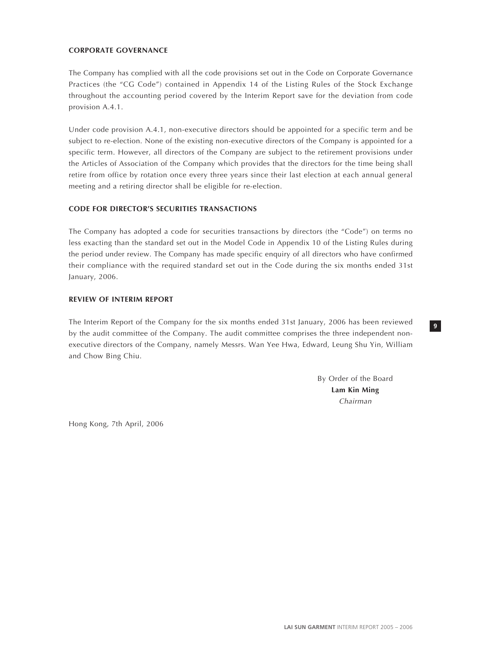# **CORPORATE GOVERNANCE**

The Company has complied with all the code provisions set out in the Code on Corporate Governance Practices (the "CG Code") contained in Appendix 14 of the Listing Rules of the Stock Exchange throughout the accounting period covered by the Interim Report save for the deviation from code provision A.4.1.

Under code provision A.4.1, non-executive directors should be appointed for a specific term and be subject to re-election. None of the existing non-executive directors of the Company is appointed for a specific term. However, all directors of the Company are subject to the retirement provisions under the Articles of Association of the Company which provides that the directors for the time being shall retire from office by rotation once every three years since their last election at each annual general meeting and a retiring director shall be eligible for re-election.

# **CODE FOR DIRECTOR'S SECURITIES TRANSACTIONS**

The Company has adopted a code for securities transactions by directors (the "Code") on terms no less exacting than the standard set out in the Model Code in Appendix 10 of the Listing Rules during the period under review. The Company has made specific enquiry of all directors who have confirmed their compliance with the required standard set out in the Code during the six months ended 31st January, 2006.

# **REVIEW OF INTERIM REPORT**

The Interim Report of the Company for the six months ended 31st January, 2006 has been reviewed by the audit committee of the Company. The audit committee comprises the three independent nonexecutive directors of the Company, namely Messrs. Wan Yee Hwa, Edward, Leung Shu Yin, William and Chow Bing Chiu.

> By Order of the Board **Lam Kin Ming** Chairman

**9**

Hong Kong, 7th April, 2006

**LAI SUN GARMENT** INTERIM REPORT 2005 – 2006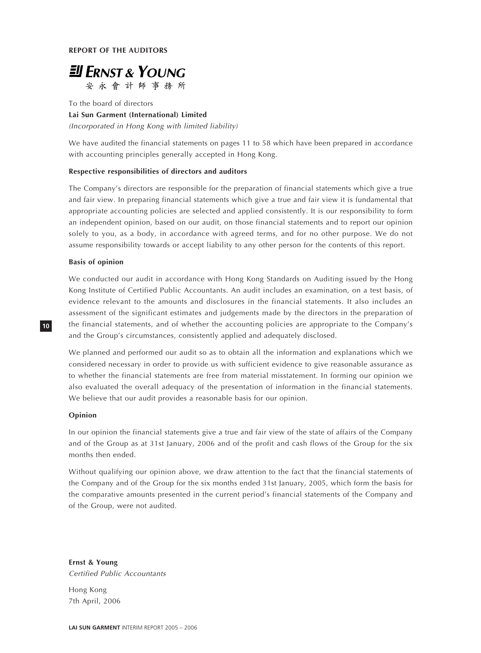

To the board of directors **Lai Sun Garment (International) Limited** (Incorporated in Hong Kong with limited liability)

We have audited the financial statements on pages 11 to 58 which have been prepared in accordance with accounting principles generally accepted in Hong Kong.

### **Respective responsibilities of directors and auditors**

The Company's directors are responsible for the preparation of financial statements which give a true and fair view. In preparing financial statements which give a true and fair view it is fundamental that appropriate accounting policies are selected and applied consistently. It is our responsibility to form an independent opinion, based on our audit, on those financial statements and to report our opinion solely to you, as a body, in accordance with agreed terms, and for no other purpose. We do not assume responsibility towards or accept liability to any other person for the contents of this report.

# **Basis of opinion**

We conducted our audit in accordance with Hong Kong Standards on Auditing issued by the Hong Kong Institute of Certified Public Accountants. An audit includes an examination, on a test basis, of evidence relevant to the amounts and disclosures in the financial statements. It also includes an assessment of the significant estimates and judgements made by the directors in the preparation of the financial statements, and of whether the accounting policies are appropriate to the Company's and the Group's circumstances, consistently applied and adequately disclosed.

We planned and performed our audit so as to obtain all the information and explanations which we considered necessary in order to provide us with sufficient evidence to give reasonable assurance as to whether the financial statements are free from material misstatement. In forming our opinion we also evaluated the overall adequacy of the presentation of information in the financial statements. We believe that our audit provides a reasonable basis for our opinion.

# **Opinion**

**10**

In our opinion the financial statements give a true and fair view of the state of affairs of the Company and of the Group as at 31st January, 2006 and of the profit and cash flows of the Group for the six months then ended.

Without qualifying our opinion above, we draw attention to the fact that the financial statements of the Company and of the Group for the six months ended 31st January, 2005, which form the basis for the comparative amounts presented in the current period's financial statements of the Company and of the Group, were not audited.

**Ernst & Young** Certified Public Accountants

Hong Kong 7th April, 2006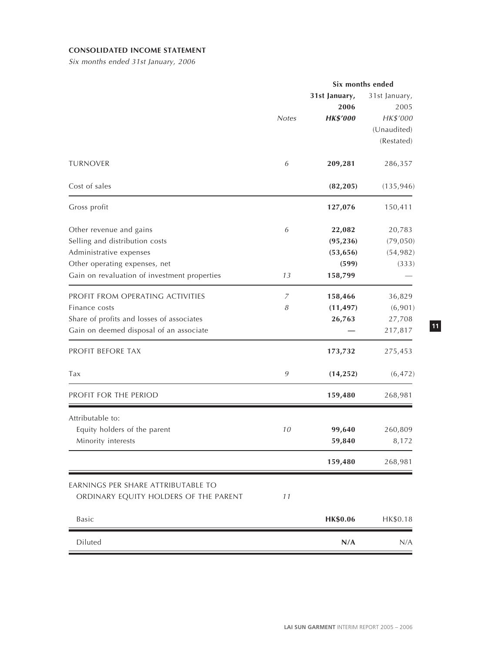# **CONSOLIDATED INCOME STATEMENT**

Six months ended 31st January, 2006

|                                                                                                                                                                       |                  |                                                      | Six months ended                                               |
|-----------------------------------------------------------------------------------------------------------------------------------------------------------------------|------------------|------------------------------------------------------|----------------------------------------------------------------|
|                                                                                                                                                                       | <b>Notes</b>     | 31st January,<br>2006<br><b>HK\$'000</b>             | 31st January,<br>2005<br>HK\$'000<br>(Unaudited)<br>(Restated) |
| <b>TURNOVER</b>                                                                                                                                                       | 6                | 209,281                                              | 286,357                                                        |
| Cost of sales                                                                                                                                                         |                  | (82, 205)                                            | (135, 946)                                                     |
| Gross profit                                                                                                                                                          |                  | 127,076                                              | 150,411                                                        |
| Other revenue and gains<br>Selling and distribution costs<br>Administrative expenses<br>Other operating expenses, net<br>Gain on revaluation of investment properties | 6<br>13          | 22,082<br>(95, 236)<br>(53, 656)<br>(599)<br>158,799 | 20,783<br>(79, 050)<br>(54, 982)<br>(333)                      |
| PROFIT FROM OPERATING ACTIVITIES<br>Finance costs<br>Share of profits and losses of associates<br>Gain on deemed disposal of an associate                             | 7<br>8           | 158,466<br>(11, 497)<br>26,763                       | 36,829<br>(6,901)<br>27,708<br>217,817                         |
| PROFIT BEFORE TAX                                                                                                                                                     |                  | 173,732                                              | 275,453                                                        |
| Tax                                                                                                                                                                   | $\boldsymbol{9}$ | (14, 252)                                            | (6, 472)                                                       |
| PROFIT FOR THE PERIOD                                                                                                                                                 |                  | 159,480                                              | 268,981                                                        |
| Attributable to:<br>Equity holders of the parent<br>Minority interests                                                                                                | 10               | 99,640<br>59,840                                     | 260,809<br>8,172                                               |
|                                                                                                                                                                       |                  | 159,480                                              | 268,981                                                        |
| EARNINGS PER SHARE ATTRIBUTABLE TO<br>ORDINARY EQUITY HOLDERS OF THE PARENT                                                                                           | 11               |                                                      |                                                                |
| Basic                                                                                                                                                                 |                  | HK\$0.06                                             | HK\$0.18                                                       |
| Diluted                                                                                                                                                               |                  | N/A                                                  | N/A                                                            |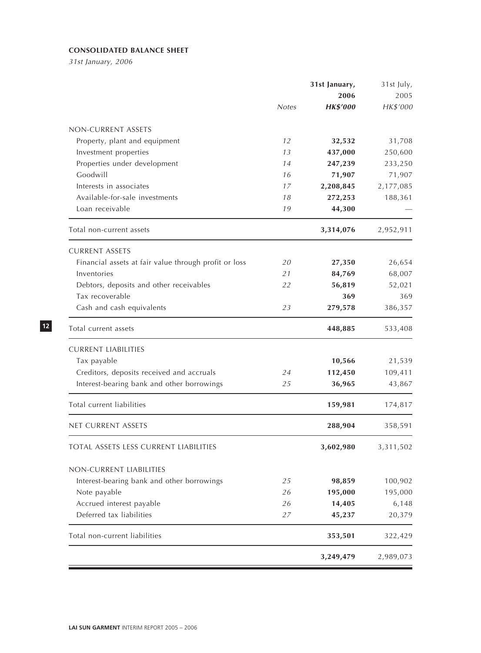# **CONSOLIDATED BALANCE SHEET**

31st January, 2006

|                                                       | 31st January, |                 | 31st July, |
|-------------------------------------------------------|---------------|-----------------|------------|
|                                                       |               | 2006            | 2005       |
|                                                       | <b>Notes</b>  | <b>HK\$'000</b> | HK\$'000   |
| NON-CURRENT ASSETS                                    |               |                 |            |
| Property, plant and equipment                         | 12            | 32,532          | 31,708     |
| Investment properties                                 | 13            | 437,000         | 250,600    |
| Properties under development                          | 14            | 247,239         | 233,250    |
| Goodwill                                              | 16            | 71,907          | 71,907     |
| Interests in associates                               | 17            | 2,208,845       | 2,177,085  |
| Available-for-sale investments                        | 18            | 272,253         | 188,361    |
| Loan receivable                                       | 19            | 44,300          |            |
| Total non-current assets                              |               | 3,314,076       | 2,952,911  |
| <b>CURRENT ASSETS</b>                                 |               |                 |            |
| Financial assets at fair value through profit or loss | 20            | 27,350          | 26,654     |
| Inventories                                           | 21            | 84,769          | 68,007     |
| Debtors, deposits and other receivables               | 22            | 56,819          | 52,021     |
| Tax recoverable                                       |               | 369             | 369        |
| Cash and cash equivalents                             | 23            | 279,578         | 386,357    |
| Total current assets                                  |               | 448,885         | 533,408    |
| <b>CURRENT LIABILITIES</b>                            |               |                 |            |
| Tax payable                                           |               | 10,566          | 21,539     |
| Creditors, deposits received and accruals             | 24            | 112,450         | 109,411    |
| Interest-bearing bank and other borrowings            | 25            | 36,965          | 43,867     |
| Total current liabilities                             |               | 159,981         | 174,817    |
| NET CURRENT ASSETS                                    |               | 288,904         | 358,591    |
| TOTAL ASSETS LESS CURRENT LIABILITIES                 |               | 3,602,980       | 3,311,502  |
| NON-CURRENT LIABILITIES                               |               |                 |            |
| Interest-bearing bank and other borrowings            | 25            | 98,859          | 100,902    |
| Note payable                                          | 26            | 195,000         | 195,000    |
| Accrued interest payable                              | 26            | 14,405          | 6,148      |
| Deferred tax liabilities                              | 27            | 45,237          | 20,379     |
| Total non-current liabilities                         |               | 353,501         | 322,429    |
|                                                       |               | 3,249,479       | 2,989,073  |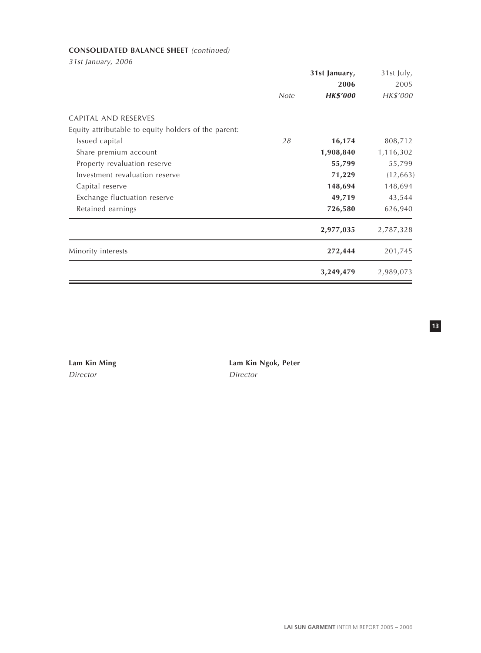# **CONSOLIDATED BALANCE SHEET** (continued)

31st January, 2006

|                                                      |      | 31st January,   | 31st July, |
|------------------------------------------------------|------|-----------------|------------|
|                                                      |      | 2006            | 2005       |
|                                                      | Note | <b>HK\$'000</b> | HK\$'000   |
| CAPITAL AND RESERVES                                 |      |                 |            |
| Equity attributable to equity holders of the parent: |      |                 |            |
| Issued capital                                       | 28   | 16,174          | 808,712    |
| Share premium account                                |      | 1,908,840       | 1,116,302  |
| Property revaluation reserve                         |      | 55,799          | 55,799     |
| Investment revaluation reserve                       |      | 71,229          | (12, 663)  |
| Capital reserve                                      |      | 148,694         | 148,694    |
| Exchange fluctuation reserve                         |      | 49,719          | 43,544     |
| Retained earnings                                    |      | 726,580         | 626,940    |
|                                                      |      | 2,977,035       | 2,787,328  |
| Minority interests                                   |      | 272,444         | 201,745    |
|                                                      |      | 3,249,479       | 2,989,073  |

Director Director

**Lam Kin Ming Lam Kin Ngok, Peter**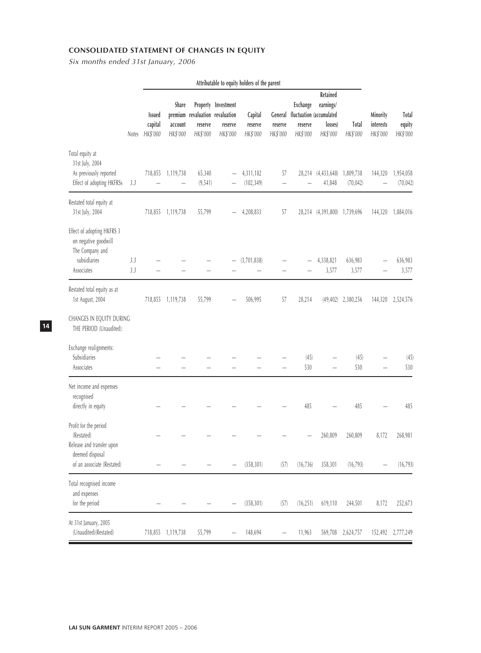# **CONSOLIDATED STATEMENT OF CHANGES IN EQUITY**

Six months ended 31st January, 2006

|                                                                                                     |            |                                      |                                     |                                                        |                                            | Attributable to equity holders of the parent |                     |                                 |                                                                                  |                          |                                   |                                    |
|-----------------------------------------------------------------------------------------------------|------------|--------------------------------------|-------------------------------------|--------------------------------------------------------|--------------------------------------------|----------------------------------------------|---------------------|---------------------------------|----------------------------------------------------------------------------------|--------------------------|-----------------------------------|------------------------------------|
|                                                                                                     | Notes      | <b>Issued</b><br>capital<br>HK\$'000 | <b>Share</b><br>account<br>HK\$'000 | premium revaluation revaluation<br>reserve<br>HK\$'000 | Property Investment<br>reserve<br>HK\$'000 | Capital<br>reserve<br>HK\$'000               | reserve<br>HK\$'000 | Exchange<br>reserve<br>HK\$'000 | Retained<br>earnings/<br>General fluctuation (accumulated<br>losses)<br>HK\$'000 | <b>Total</b><br>HK\$'000 | Minority<br>interests<br>HK\$'000 | <b>Total</b><br>equity<br>HK\$'000 |
| Total equity at<br>31st July, 2004<br>As previously reported<br>Effect of adopting HKFRSs           | 3.3        | 718,855                              | 1,119,738                           | 65,340<br>(9, 541)                                     |                                            | 4,311,182<br>(102, 349)                      | 57                  |                                 | 28,214 (4,433,648)<br>41,848                                                     | 1,809,738<br>(70, 042)   | 144,320                           | 1,954,058<br>(70, 042)             |
| Restated total equity at<br>31st July, 2004                                                         |            |                                      | 718,855 1,119,738                   | 55,799                                                 |                                            | 4,208,833                                    | 57                  |                                 | 28,214 (4,391,800) 1,739,696                                                     |                          | 144,320                           | 1,884,016                          |
| Effect of adopting HKFRS 3<br>on negative goodwill<br>The Company and<br>subsidiaries<br>Associates | 3.3<br>3.3 |                                      |                                     |                                                        |                                            | (3,701,838)                                  |                     |                                 | 4,338,821<br>3,577                                                               | 636,983<br>3,577         |                                   | 636,983<br>3,577                   |
| Restated total equity as at<br>1st August, 2004                                                     |            | 718,855                              | 1,119,738                           | 55,799                                                 |                                            | 506,995                                      | 57                  | 28,214                          |                                                                                  | $(49, 402)$ 2,380,256    | 144,320                           | 2,524,576                          |
| CHANGES IN EQUITY DURING<br>THE PERIOD (Unaudited):                                                 |            |                                      |                                     |                                                        |                                            |                                              |                     |                                 |                                                                                  |                          |                                   |                                    |
| Exchange realignments:<br>Subsidiaries<br>Associates                                                |            |                                      |                                     |                                                        |                                            |                                              |                     | (45)<br>530                     |                                                                                  | (45)<br>530              |                                   | (45)<br>530                        |
| Net income and expenses<br>recognised<br>directly in equity                                         |            |                                      |                                     |                                                        |                                            |                                              |                     | 485                             |                                                                                  | 485                      |                                   | 485                                |
| Profit for the period<br>(Restated)<br>Release and transfer upon                                    |            |                                      |                                     |                                                        |                                            |                                              |                     |                                 | 260,809                                                                          | 260,809                  | 8,172                             | 268,981                            |
| deemed disposal<br>of an associate (Restated)                                                       |            |                                      |                                     |                                                        |                                            | (358, 301)                                   | (57)                | (16, 736)                       | 358,301                                                                          | (16, 793)                |                                   | (16, 793)                          |
| Total recognised income<br>and expenses<br>for the period                                           |            |                                      |                                     |                                                        |                                            | (358, 301)                                   | (57)                | (16, 251)                       | 619,110                                                                          | 244,501                  | 8,172                             | 252,673                            |
| At 31st January, 2005<br>(Unaudited)(Restated)                                                      |            | 718,855                              | 1,119,738                           | 55,799                                                 |                                            | 148,694                                      |                     | 11,963                          | 569,708                                                                          | 2,624,757                | 152,492                           | 2,777,249                          |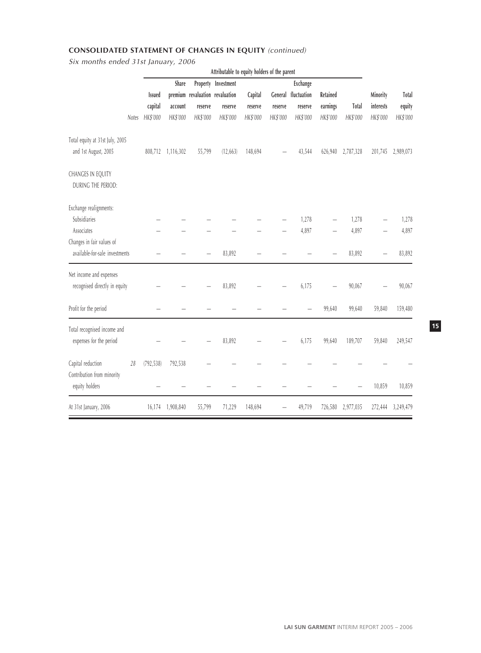# **CONSOLIDATED STATEMENT OF CHANGES IN EQUITY** (continued)

Six months ended 31st January, 2006

|                                                             |            |                  |                                 | Attributable to equity holders of the parent |          |          |                     |          |                   |           |           |
|-------------------------------------------------------------|------------|------------------|---------------------------------|----------------------------------------------|----------|----------|---------------------|----------|-------------------|-----------|-----------|
|                                                             |            | Share            |                                 | Property Investment                          |          |          | Exchange            |          |                   |           |           |
|                                                             | Issued     |                  | premium revaluation revaluation |                                              | Capital  |          | General fluctuation | Retained |                   | Minority  | Total     |
|                                                             | capital    | account          | reserve                         | reserve                                      | reserve  | reserve  | reserve             | earnings | <b>Total</b>      | interests | equity    |
| Notes                                                       | HK\$'000   | HK\$'000         | HK\$'000                        | HK\$'000                                     | HK\$'000 | HK\$'000 | HK\$'000            | HK\$'000 | HK\$'000          | HK\$'000  | HK\$'000  |
| Total equity at 31st July, 2005                             |            |                  |                                 |                                              |          |          |                     |          |                   |           |           |
| and 1st August, 2005                                        | 808,712    | 1,116,302        | 55,799                          | (12, 663)                                    | 148,694  |          | 43,544              | 626,940  | 2,787,328         | 201,745   | 2,989,073 |
| CHANGES IN EQUITY<br>DURING THE PERIOD:                     |            |                  |                                 |                                              |          |          |                     |          |                   |           |           |
| Exchange realignments:                                      |            |                  |                                 |                                              |          |          |                     |          |                   |           |           |
| Subsidiaries                                                |            |                  |                                 |                                              |          |          | 1,278               |          | 1,278             |           | 1,278     |
| Associates                                                  |            |                  |                                 |                                              |          |          | 4,897               |          | 4,897             |           | 4,897     |
| Changes in fair values of<br>available-for-sale investments |            |                  |                                 | 83,892                                       |          |          |                     |          | 83,892            |           | 83,892    |
| Net income and expenses<br>recognised directly in equity    |            |                  |                                 | 83,892                                       |          |          | 6,175               |          | 90,067            |           | 90,067    |
| Profit for the period                                       |            |                  |                                 |                                              |          |          |                     | 99,640   | 99,640            | 59,840    | 159,480   |
| Total recognised income and<br>expenses for the period      |            |                  |                                 | 83,892                                       |          |          | 6,175               | 99,640   | 189,707           | 59,840    | 249,547   |
| Capital reduction<br>28<br>Contribution from minority       | (792, 538) | 792,538          |                                 |                                              |          |          |                     |          |                   |           |           |
| equity holders                                              |            |                  |                                 |                                              |          |          |                     |          |                   | 10,859    | 10,859    |
| At 31st January, 2006                                       |            | 16,174 1,908,840 | 55,799                          | 71,229                                       | 148,694  |          | 49,719              |          | 726,580 2,977,035 | 272,444   | 3,249,479 |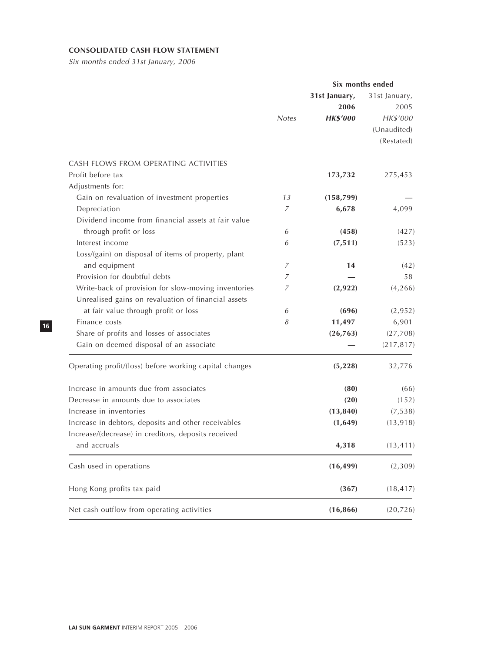# **CONSOLIDATED CASH FLOW STATEMENT**

Six months ended 31st January, 2006

|                                                        | Six months ended |                                          |                                                  |  |
|--------------------------------------------------------|------------------|------------------------------------------|--------------------------------------------------|--|
|                                                        | <b>Notes</b>     | 31st January,<br>2006<br><b>HK\$'000</b> | 31st January,<br>2005<br>HK\$'000<br>(Unaudited) |  |
|                                                        |                  |                                          | (Restated)                                       |  |
| CASH FLOWS FROM OPERATING ACTIVITIES                   |                  |                                          |                                                  |  |
| Profit before tax                                      |                  | 173,732                                  | 275,453                                          |  |
| Adjustments for:                                       |                  |                                          |                                                  |  |
| Gain on revaluation of investment properties           | 13               | (158, 799)                               |                                                  |  |
| Depreciation                                           | 7                | 6,678                                    | 4,099                                            |  |
| Dividend income from financial assets at fair value    |                  |                                          |                                                  |  |
| through profit or loss                                 | 6                | (458)                                    | (427)                                            |  |
| Interest income                                        | 6                | (7, 511)                                 | (523)                                            |  |
| Loss/(gain) on disposal of items of property, plant    |                  |                                          |                                                  |  |
| and equipment                                          | 7                | 14                                       | (42)                                             |  |
| Provision for doubtful debts                           | 7                |                                          | 58                                               |  |
| Write-back of provision for slow-moving inventories    | $\overline{z}$   | (2, 922)                                 | (4, 266)                                         |  |
| Unrealised gains on revaluation of financial assets    |                  |                                          |                                                  |  |
| at fair value through profit or loss                   | 6                | (696)                                    | (2,952)                                          |  |
| Finance costs                                          | 8                | 11,497                                   | 6,901                                            |  |
| Share of profits and losses of associates              |                  | (26, 763)                                | (27,708)                                         |  |
| Gain on deemed disposal of an associate                |                  |                                          | (217, 817)                                       |  |
| Operating profit/(loss) before working capital changes |                  | (5, 228)                                 | 32,776                                           |  |
| Increase in amounts due from associates                |                  | (80)                                     | (66)                                             |  |
| Decrease in amounts due to associates                  |                  | (20)                                     | (152)                                            |  |
| Increase in inventories                                |                  | (13, 840)                                | (7, 538)                                         |  |
| Increase in debtors, deposits and other receivables    |                  | (1,649)                                  | (13, 918)                                        |  |
| Increase/(decrease) in creditors, deposits received    |                  |                                          |                                                  |  |
| and accruals                                           |                  | 4,318                                    | (13, 411)                                        |  |
| Cash used in operations                                |                  | (16, 499)                                | (2,309)                                          |  |
| Hong Kong profits tax paid                             |                  | (367)                                    | (18, 417)                                        |  |
| Net cash outflow from operating activities             |                  | (16, 866)                                | (20, 726)                                        |  |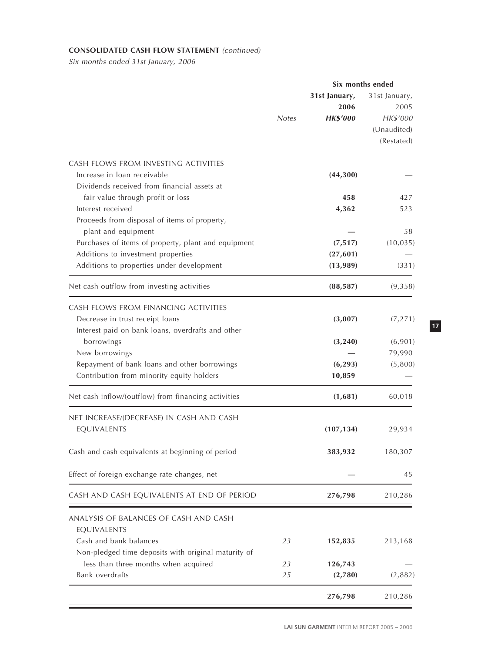# **CONSOLIDATED CASH FLOW STATEMENT** (continued)

Six months ended 31st January, 2006

|                                                                                                                                                               |              |                                          | Six months ended                                               |
|---------------------------------------------------------------------------------------------------------------------------------------------------------------|--------------|------------------------------------------|----------------------------------------------------------------|
|                                                                                                                                                               | <b>Notes</b> | 31st January,<br>2006<br><b>HK\$'000</b> | 31st January,<br>2005<br>HK\$'000<br>(Unaudited)<br>(Restated) |
| CASH FLOWS FROM INVESTING ACTIVITIES<br>Increase in loan receivable<br>Dividends received from financial assets at                                            |              | (44,300)                                 |                                                                |
| fair value through profit or loss<br>Interest received<br>Proceeds from disposal of items of property,                                                        |              | 458<br>4,362                             | 427<br>523                                                     |
| plant and equipment<br>Purchases of items of property, plant and equipment<br>Additions to investment properties<br>Additions to properties under development |              | (7, 517)<br>(27, 601)<br>(13,989)        | 58<br>(10, 035)<br>(331)                                       |
| Net cash outflow from investing activities                                                                                                                    |              | (88, 587)                                | (9,358)                                                        |
| CASH FLOWS FROM FINANCING ACTIVITIES<br>Decrease in trust receipt loans<br>Interest paid on bank loans, overdrafts and other                                  |              | (3,007)                                  | (7, 271)                                                       |
| borrowings<br>New borrowings<br>Repayment of bank loans and other borrowings<br>Contribution from minority equity holders                                     |              | (3, 240)<br>(6, 293)<br>10,859           | (6,901)<br>79,990<br>(5,800)                                   |
| Net cash inflow/(outflow) from financing activities                                                                                                           |              | (1,681)                                  | 60,018                                                         |
| NET INCREASE/(DECREASE) IN CASH AND CASH<br>EQUIVALENTS                                                                                                       |              | (107, 134)                               | 29,934                                                         |
| Cash and cash equivalents at beginning of period                                                                                                              |              | 383,932                                  | 180,307                                                        |
| Effect of foreign exchange rate changes, net                                                                                                                  |              |                                          | 45                                                             |
| CASH AND CASH EQUIVALENTS AT END OF PERIOD                                                                                                                    |              | 276,798                                  | 210,286                                                        |
| ANALYSIS OF BALANCES OF CASH AND CASH<br>EQUIVALENTS                                                                                                          |              |                                          |                                                                |
| Cash and bank balances<br>Non-pledged time deposits with original maturity of                                                                                 | 23           | 152,835                                  | 213,168                                                        |
| less than three months when acquired<br>Bank overdrafts                                                                                                       | 23<br>25     | 126,743<br>(2,780)                       | (2,882)                                                        |
|                                                                                                                                                               |              | 276,798                                  | 210,286                                                        |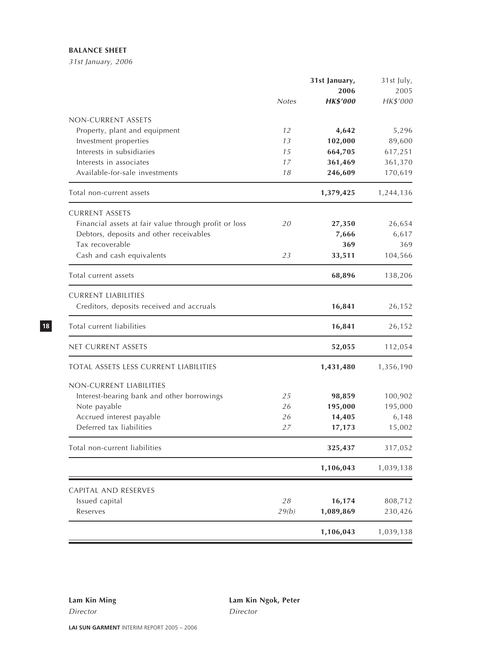# **BALANCE SHEET**

31st January, 2006

|                                                       |              | 31st January,   | 31st July, |
|-------------------------------------------------------|--------------|-----------------|------------|
|                                                       |              | 2006            | 2005       |
|                                                       | <b>Notes</b> | <b>HK\$'000</b> | HK\$'000   |
| NON-CURRENT ASSETS                                    |              |                 |            |
| Property, plant and equipment                         | 12           | 4,642           | 5,296      |
| Investment properties                                 | 13           | 102,000         | 89,600     |
| Interests in subsidiaries                             | 15           | 664,705         | 617,251    |
| Interests in associates                               | 17           | 361,469         | 361,370    |
| Available-for-sale investments                        | 18           | 246,609         | 170,619    |
| Total non-current assets                              |              | 1,379,425       | 1,244,136  |
| <b>CURRENT ASSETS</b>                                 |              |                 |            |
| Financial assets at fair value through profit or loss | 20           | 27,350          | 26,654     |
| Debtors, deposits and other receivables               |              | 7,666           | 6,617      |
| Tax recoverable                                       |              | 369             | 369        |
| Cash and cash equivalents                             | 23           | 33,511          | 104,566    |
| Total current assets                                  |              | 68,896          | 138,206    |
| <b>CURRENT LIABILITIES</b>                            |              |                 |            |
| Creditors, deposits received and accruals             |              | 16,841          | 26,152     |
| Total current liabilities                             |              | 16,841          | 26,152     |
| NET CURRENT ASSETS                                    |              | 52,055          | 112,054    |
| <b>TOTAL ASSETS LESS CURRENT LIABILITIES</b>          |              | 1,431,480       | 1,356,190  |
| NON-CURRENT LIABILITIES                               |              |                 |            |
| Interest-bearing bank and other borrowings            | 25           | 98,859          | 100,902    |
| Note payable                                          | 26           | 195,000         | 195,000    |
| Accrued interest payable                              | 26           | 14,405          | 6,148      |
| Deferred tax liabilities                              | 27           | 17,173          | 15,002     |
| Total non-current liabilities                         |              | 325,437         | 317,052    |
|                                                       |              | 1,106,043       | 1,039,138  |
| CAPITAL AND RESERVES                                  |              |                 |            |
| Issued capital                                        | 28           | 16,174          | 808,712    |
| Reserves                                              | 29(b)        | 1,089,869       | 230,426    |
|                                                       |              | 1,106,043       | 1,039,138  |
|                                                       |              |                 |            |

Director Director

**Lam Kin Ming Lam Kin Ngok, Peter**

**LAI SUN GARMENT** INTERIM REPORT 2005 – 2006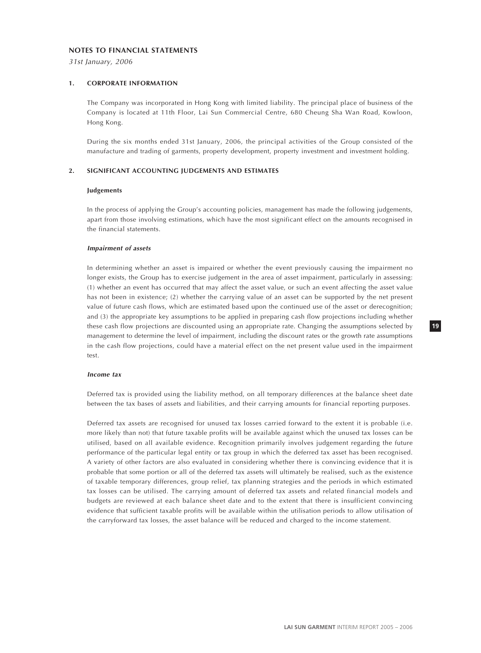#### **NOTES TO FINANCIAL STATEMENTS**

31st January, 2006

### **1. CORPORATE INFORMATION**

The Company was incorporated in Hong Kong with limited liability. The principal place of business of the Company is located at 11th Floor, Lai Sun Commercial Centre, 680 Cheung Sha Wan Road, Kowloon, Hong Kong.

During the six months ended 31st January, 2006, the principal activities of the Group consisted of the manufacture and trading of garments, property development, property investment and investment holding.

### **2. SIGNIFICANT ACCOUNTING JUDGEMENTS AND ESTIMATES**

#### **Judgements**

In the process of applying the Group's accounting policies, management has made the following judgements, apart from those involving estimations, which have the most significant effect on the amounts recognised in the financial statements.

#### **Impairment of assets**

In determining whether an asset is impaired or whether the event previously causing the impairment no longer exists, the Group has to exercise judgement in the area of asset impairment, particularly in assessing: (1) whether an event has occurred that may affect the asset value, or such an event affecting the asset value has not been in existence; (2) whether the carrying value of an asset can be supported by the net present value of future cash flows, which are estimated based upon the continued use of the asset or derecognition; and (3) the appropriate key assumptions to be applied in preparing cash flow projections including whether these cash flow projections are discounted using an appropriate rate. Changing the assumptions selected by management to determine the level of impairment, including the discount rates or the growth rate assumptions in the cash flow projections, could have a material effect on the net present value used in the impairment test.

#### **Income tax**

Deferred tax is provided using the liability method, on all temporary differences at the balance sheet date between the tax bases of assets and liabilities, and their carrying amounts for financial reporting purposes.

Deferred tax assets are recognised for unused tax losses carried forward to the extent it is probable (i.e. more likely than not) that future taxable profits will be available against which the unused tax losses can be utilised, based on all available evidence. Recognition primarily involves judgement regarding the future performance of the particular legal entity or tax group in which the deferred tax asset has been recognised. A variety of other factors are also evaluated in considering whether there is convincing evidence that it is probable that some portion or all of the deferred tax assets will ultimately be realised, such as the existence of taxable temporary differences, group relief, tax planning strategies and the periods in which estimated tax losses can be utilised. The carrying amount of deferred tax assets and related financial models and budgets are reviewed at each balance sheet date and to the extent that there is insufficient convincing evidence that sufficient taxable profits will be available within the utilisation periods to allow utilisation of the carryforward tax losses, the asset balance will be reduced and charged to the income statement.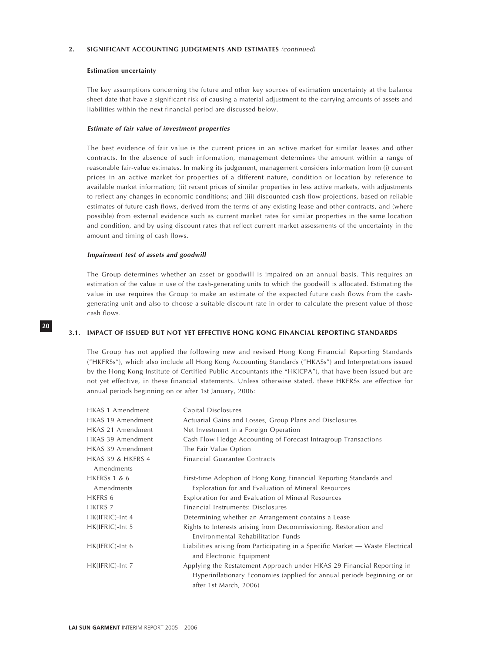#### **2. SIGNIFICANT ACCOUNTING JUDGEMENTS AND ESTIMATES** (continued)

#### **Estimation uncertainty**

The key assumptions concerning the future and other key sources of estimation uncertainty at the balance sheet date that have a significant risk of causing a material adjustment to the carrying amounts of assets and liabilities within the next financial period are discussed below.

#### **Estimate of fair value of investment properties**

The best evidence of fair value is the current prices in an active market for similar leases and other contracts. In the absence of such information, management determines the amount within a range of reasonable fair-value estimates. In making its judgement, management considers information from (i) current prices in an active market for properties of a different nature, condition or location by reference to available market information; (ii) recent prices of similar properties in less active markets, with adjustments to reflect any changes in economic conditions; and (iii) discounted cash flow projections, based on reliable estimates of future cash flows, derived from the terms of any existing lease and other contracts, and (where possible) from external evidence such as current market rates for similar properties in the same location and condition, and by using discount rates that reflect current market assessments of the uncertainty in the amount and timing of cash flows.

#### **Impairment test of assets and goodwill**

The Group determines whether an asset or goodwill is impaired on an annual basis. This requires an estimation of the value in use of the cash-generating units to which the goodwill is allocated. Estimating the value in use requires the Group to make an estimate of the expected future cash flows from the cashgenerating unit and also to choose a suitable discount rate in order to calculate the present value of those cash flows.

### **3.1. IMPACT OF ISSUED BUT NOT YET EFFECTIVE HONG KONG FINANCIAL REPORTING STANDARDS**

The Group has not applied the following new and revised Hong Kong Financial Reporting Standards ("HKFRSs"), which also include all Hong Kong Accounting Standards ("HKASs") and Interpretations issued by the Hong Kong Institute of Certified Public Accountants (the "HKICPA"), that have been issued but are not yet effective, in these financial statements. Unless otherwise stated, these HKFRSs are effective for annual periods beginning on or after 1st January, 2006:

| HKAS 1 Amendment        | Capital Disclosures                                                                                                                                                         |
|-------------------------|-----------------------------------------------------------------------------------------------------------------------------------------------------------------------------|
| HKAS 19 Amendment       | Actuarial Gains and Losses, Group Plans and Disclosures                                                                                                                     |
| HKAS 21 Amendment       | Net Investment in a Foreign Operation                                                                                                                                       |
| HKAS 39 Amendment       | Cash Flow Hedge Accounting of Forecast Intragroup Transactions                                                                                                              |
| HKAS 39 Amendment       | The Fair Value Option                                                                                                                                                       |
| HKAS 39 & HKFRS 4       | Financial Guarantee Contracts                                                                                                                                               |
| Amendments              |                                                                                                                                                                             |
| <b>HKFRSs 1 &amp; 6</b> | First-time Adoption of Hong Kong Financial Reporting Standards and                                                                                                          |
| Amendments              | Exploration for and Evaluation of Mineral Resources                                                                                                                         |
| HKFRS 6                 | Exploration for and Evaluation of Mineral Resources                                                                                                                         |
| HKFRS 7                 | Financial Instruments: Disclosures                                                                                                                                          |
| HK(IFRIC)-Int 4         | Determining whether an Arrangement contains a Lease                                                                                                                         |
| HK(IFRIC)-Int 5         | Rights to Interests arising from Decommissioning, Restoration and<br>Environmental Rehabilitation Funds                                                                     |
| HK(IFRIC)-Int 6         | Liabilities arising from Participating in a Specific Market — Waste Electrical<br>and Electronic Equipment                                                                  |
| HK(IFRIC)-Int 7         | Applying the Restatement Approach under HKAS 29 Financial Reporting in<br>Hyperinflationary Economies (applied for annual periods beginning or or<br>after 1st March, 2006) |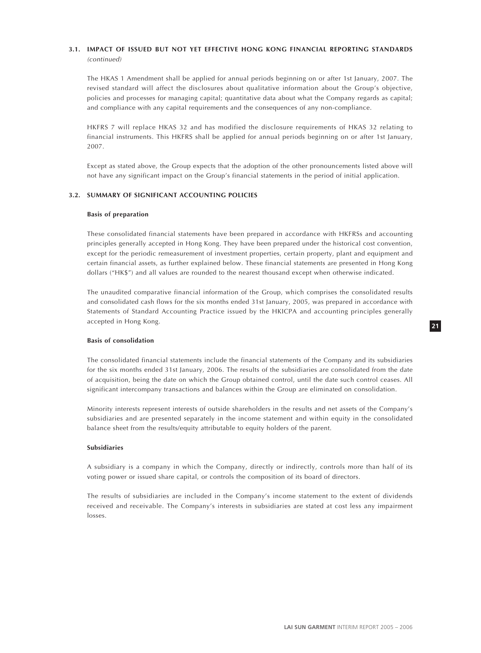# **3.1. IMPACT OF ISSUED BUT NOT YET EFFECTIVE HONG KONG FINANCIAL REPORTING STANDARDS** (continued)

The HKAS 1 Amendment shall be applied for annual periods beginning on or after 1st January, 2007. The revised standard will affect the disclosures about qualitative information about the Group's objective, policies and processes for managing capital; quantitative data about what the Company regards as capital; and compliance with any capital requirements and the consequences of any non-compliance.

HKFRS 7 will replace HKAS 32 and has modified the disclosure requirements of HKAS 32 relating to financial instruments. This HKFRS shall be applied for annual periods beginning on or after 1st January, 2007.

Except as stated above, the Group expects that the adoption of the other pronouncements listed above will not have any significant impact on the Group's financial statements in the period of initial application.

# **3.2. SUMMARY OF SIGNIFICANT ACCOUNTING POLICIES**

#### **Basis of preparation**

These consolidated financial statements have been prepared in accordance with HKFRSs and accounting principles generally accepted in Hong Kong. They have been prepared under the historical cost convention, except for the periodic remeasurement of investment properties, certain property, plant and equipment and certain financial assets, as further explained below. These financial statements are presented in Hong Kong dollars ("HK\$") and all values are rounded to the nearest thousand except when otherwise indicated.

The unaudited comparative financial information of the Group, which comprises the consolidated results and consolidated cash flows for the six months ended 31st January, 2005, was prepared in accordance with Statements of Standard Accounting Practice issued by the HKICPA and accounting principles generally accepted in Hong Kong.

# **Basis of consolidation**

The consolidated financial statements include the financial statements of the Company and its subsidiaries for the six months ended 31st January, 2006. The results of the subsidiaries are consolidated from the date of acquisition, being the date on which the Group obtained control, until the date such control ceases. All significant intercompany transactions and balances within the Group are eliminated on consolidation.

Minority interests represent interests of outside shareholders in the results and net assets of the Company's subsidiaries and are presented separately in the income statement and within equity in the consolidated balance sheet from the results/equity attributable to equity holders of the parent.

#### **Subsidiaries**

A subsidiary is a company in which the Company, directly or indirectly, controls more than half of its voting power or issued share capital, or controls the composition of its board of directors.

The results of subsidiaries are included in the Company's income statement to the extent of dividends received and receivable. The Company's interests in subsidiaries are stated at cost less any impairment losses.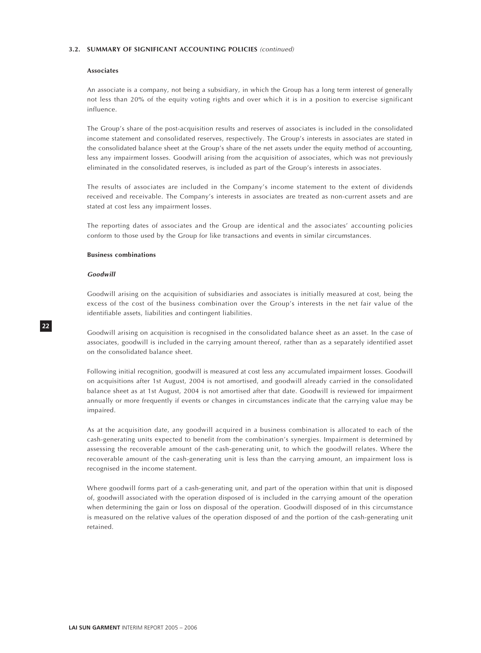#### **Associates**

An associate is a company, not being a subsidiary, in which the Group has a long term interest of generally not less than 20% of the equity voting rights and over which it is in a position to exercise significant influence.

The Group's share of the post-acquisition results and reserves of associates is included in the consolidated income statement and consolidated reserves, respectively. The Group's interests in associates are stated in the consolidated balance sheet at the Group's share of the net assets under the equity method of accounting, less any impairment losses. Goodwill arising from the acquisition of associates, which was not previously eliminated in the consolidated reserves, is included as part of the Group's interests in associates.

The results of associates are included in the Company's income statement to the extent of dividends received and receivable. The Company's interests in associates are treated as non-current assets and are stated at cost less any impairment losses.

The reporting dates of associates and the Group are identical and the associates' accounting policies conform to those used by the Group for like transactions and events in similar circumstances.

#### **Business combinations**

### **Goodwill**

Goodwill arising on the acquisition of subsidiaries and associates is initially measured at cost, being the excess of the cost of the business combination over the Group's interests in the net fair value of the identifiable assets, liabilities and contingent liabilities.

Goodwill arising on acquisition is recognised in the consolidated balance sheet as an asset. In the case of associates, goodwill is included in the carrying amount thereof, rather than as a separately identified asset on the consolidated balance sheet.

Following initial recognition, goodwill is measured at cost less any accumulated impairment losses. Goodwill on acquisitions after 1st August, 2004 is not amortised, and goodwill already carried in the consolidated balance sheet as at 1st August, 2004 is not amortised after that date. Goodwill is reviewed for impairment annually or more frequently if events or changes in circumstances indicate that the carrying value may be impaired.

As at the acquisition date, any goodwill acquired in a business combination is allocated to each of the cash-generating units expected to benefit from the combination's synergies. Impairment is determined by assessing the recoverable amount of the cash-generating unit, to which the goodwill relates. Where the recoverable amount of the cash-generating unit is less than the carrying amount, an impairment loss is recognised in the income statement.

Where goodwill forms part of a cash-generating unit, and part of the operation within that unit is disposed of, goodwill associated with the operation disposed of is included in the carrying amount of the operation when determining the gain or loss on disposal of the operation. Goodwill disposed of in this circumstance is measured on the relative values of the operation disposed of and the portion of the cash-generating unit retained.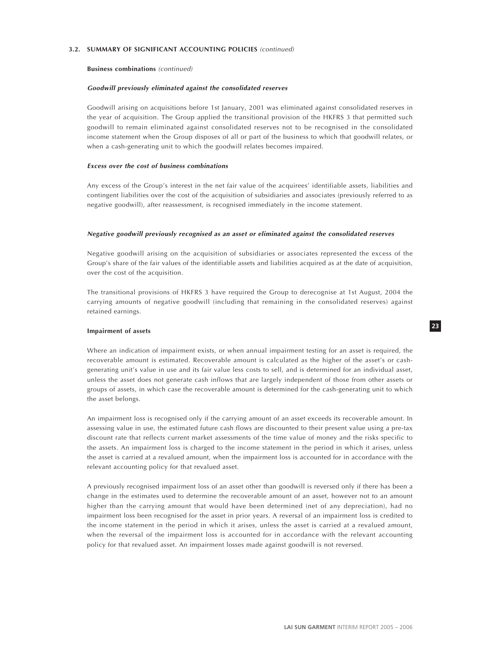#### **Business combinations** (continued)

#### **Goodwill previously eliminated against the consolidated reserves**

Goodwill arising on acquisitions before 1st January, 2001 was eliminated against consolidated reserves in the year of acquisition. The Group applied the transitional provision of the HKFRS 3 that permitted such goodwill to remain eliminated against consolidated reserves not to be recognised in the consolidated income statement when the Group disposes of all or part of the business to which that goodwill relates, or when a cash-generating unit to which the goodwill relates becomes impaired.

#### **Excess over the cost of business combinations**

Any excess of the Group's interest in the net fair value of the acquirees' identifiable assets, liabilities and contingent liabilities over the cost of the acquisition of subsidiaries and associates (previously referred to as negative goodwill), after reassessment, is recognised immediately in the income statement.

#### **Negative goodwill previously recognised as an asset or eliminated against the consolidated reserves**

Negative goodwill arising on the acquisition of subsidiaries or associates represented the excess of the Group's share of the fair values of the identifiable assets and liabilities acquired as at the date of acquisition, over the cost of the acquisition.

The transitional provisions of HKFRS 3 have required the Group to derecognise at 1st August, 2004 the carrying amounts of negative goodwill (including that remaining in the consolidated reserves) against retained earnings.

#### **Impairment of assets**

Where an indication of impairment exists, or when annual impairment testing for an asset is required, the recoverable amount is estimated. Recoverable amount is calculated as the higher of the asset's or cashgenerating unit's value in use and its fair value less costs to sell, and is determined for an individual asset, unless the asset does not generate cash inflows that are largely independent of those from other assets or groups of assets, in which case the recoverable amount is determined for the cash-generating unit to which the asset belongs.

An impairment loss is recognised only if the carrying amount of an asset exceeds its recoverable amount. In assessing value in use, the estimated future cash flows are discounted to their present value using a pre-tax discount rate that reflects current market assessments of the time value of money and the risks specific to the assets. An impairment loss is charged to the income statement in the period in which it arises, unless the asset is carried at a revalued amount, when the impairment loss is accounted for in accordance with the relevant accounting policy for that revalued asset.

A previously recognised impairment loss of an asset other than goodwill is reversed only if there has been a change in the estimates used to determine the recoverable amount of an asset, however not to an amount higher than the carrying amount that would have been determined (net of any depreciation), had no impairment loss been recognised for the asset in prior years. A reversal of an impairment loss is credited to the income statement in the period in which it arises, unless the asset is carried at a revalued amount, when the reversal of the impairment loss is accounted for in accordance with the relevant accounting policy for that revalued asset. An impairment losses made against goodwill is not reversed.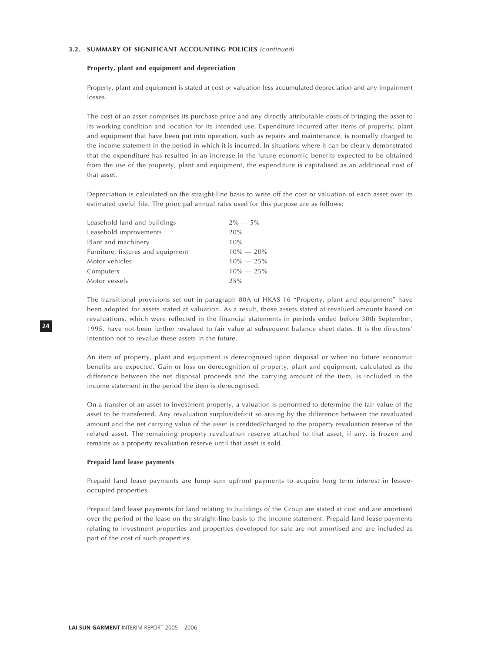# **Property, plant and equipment and depreciation**

Property, plant and equipment is stated at cost or valuation less accumulated depreciation and any impairment losses.

The cost of an asset comprises its purchase price and any directly attributable costs of bringing the asset to its working condition and location for its intended use. Expenditure incurred after items of property, plant and equipment that have been put into operation, such as repairs and maintenance, is normally charged to the income statement in the period in which it is incurred. In situations where it can be clearly demonstrated that the expenditure has resulted in an increase in the future economic benefits expected to be obtained from the use of the property, plant and equipment, the expenditure is capitalised as an additional cost of that asset.

Depreciation is calculated on the straight-line basis to write off the cost or valuation of each asset over its estimated useful life. The principal annual rates used for this purpose are as follows:

| Leasehold improvements<br>20%     |               |
|-----------------------------------|---------------|
|                                   |               |
| Plant and machinery<br>10%        |               |
| Furniture, fixtures and equipment | $10\% - 20\%$ |
| Motor vehicles                    | $10\% - 25\%$ |
| Computers                         | $10\% - 25\%$ |
| Motor vessels<br>25%              |               |

The transitional provisions set out in paragraph 80A of HKAS 16 "Property, plant and equipment" have been adopted for assets stated at valuation. As a result, those assets stated at revalued amounts based on revaluations, which were reflected in the financial statements in periods ended before 30th September, 1995, have not been further revalued to fair value at subsequent balance sheet dates. It is the directors' intention not to revalue these assets in the future.

An item of property, plant and equipment is derecognised upon disposal or when no future economic benefits are expected. Gain or loss on derecognition of property, plant and equipment, calculated as the difference between the net disposal proceeds and the carrying amount of the item, is included in the income statement in the period the item is derecognised.

On a transfer of an asset to investment property, a valuation is performed to determine the fair value of the asset to be transferred. Any revaluation surplus/deficit so arising by the difference between the revaluated amount and the net carrying value of the asset is credited/charged to the property revaluation reserve of the related asset. The remaining property revaluation reserve attached to that asset, if any, is frozen and remains as a property revaluation reserve until that asset is sold.

#### **Prepaid land lease payments**

Prepaid land lease payments are lump sum upfront payments to acquire long term interest in lesseeoccupied properties.

Prepaid land lease payments for land relating to buildings of the Group are stated at cost and are amortised over the period of the lease on the straight-line basis to the income statement. Prepaid land lease payments relating to investment properties and properties developed for sale are not amortised and are included as part of the cost of such properties.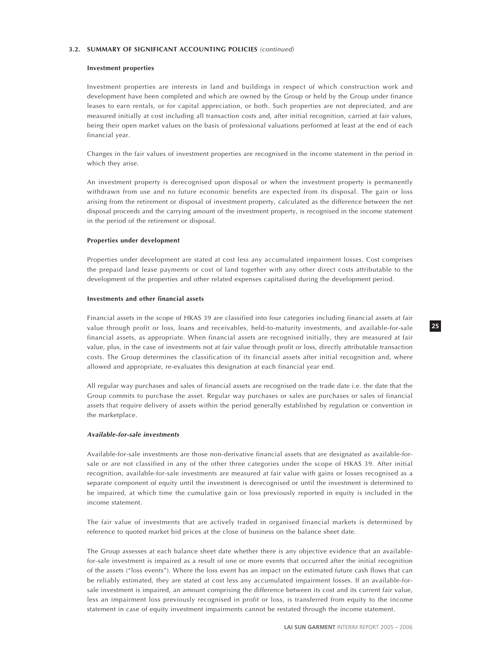#### **Investment properties**

Investment properties are interests in land and buildings in respect of which construction work and development have been completed and which are owned by the Group or held by the Group under finance leases to earn rentals, or for capital appreciation, or both. Such properties are not depreciated, and are measured initially at cost including all transaction costs and, after initial recognition, carried at fair values, being their open market values on the basis of professional valuations performed at least at the end of each financial year.

Changes in the fair values of investment properties are recognised in the income statement in the period in which they arise.

An investment property is derecognised upon disposal or when the investment property is permanently withdrawn from use and no future economic benefits are expected from its disposal. The gain or loss arising from the retirement or disposal of investment property, calculated as the difference between the net disposal proceeds and the carrying amount of the investment property, is recognised in the income statement in the period of the retirement or disposal.

#### **Properties under development**

Properties under development are stated at cost less any accumulated impairment losses. Cost comprises the prepaid land lease payments or cost of land together with any other direct costs attributable to the development of the properties and other related expenses capitalised during the development period.

### **Investments and other financial assets**

Financial assets in the scope of HKAS 39 are classified into four categories including financial assets at fair value through profit or loss, loans and receivables, held-to-maturity investments, and available-for-sale financial assets, as appropriate. When financial assets are recognised initially, they are measured at fair value, plus, in the case of investments not at fair value through profit or loss, directly attributable transaction costs. The Group determines the classification of its financial assets after initial recognition and, where allowed and appropriate, re-evaluates this designation at each financial year end.

All regular way purchases and sales of financial assets are recognised on the trade date i.e. the date that the Group commits to purchase the asset. Regular way purchases or sales are purchases or sales of financial assets that require delivery of assets within the period generally established by regulation or convention in the marketplace.

#### **Available-for-sale investments**

Available-for-sale investments are those non-derivative financial assets that are designated as available-forsale or are not classified in any of the other three categories under the scope of HKAS 39. After initial recognition, available-for-sale investments are measured at fair value with gains or losses recognised as a separate component of equity until the investment is derecognised or until the investment is determined to be impaired, at which time the cumulative gain or loss previously reported in equity is included in the income statement.

The fair value of investments that are actively traded in organised financial markets is determined by reference to quoted market bid prices at the close of business on the balance sheet date.

The Group assesses at each balance sheet date whether there is any objective evidence that an availablefor-sale investment is impaired as a result of one or more events that occurred after the initial recognition of the assets ("loss events"). Where the loss event has an impact on the estimated future cash flows that can be reliably estimated, they are stated at cost less any accumulated impairment losses. If an available-forsale investment is impaired, an amount comprising the difference between its cost and its current fair value, less an impairment loss previously recognised in profit or loss, is transferred from equity to the income statement in case of equity investment impairments cannot be restated through the income statement.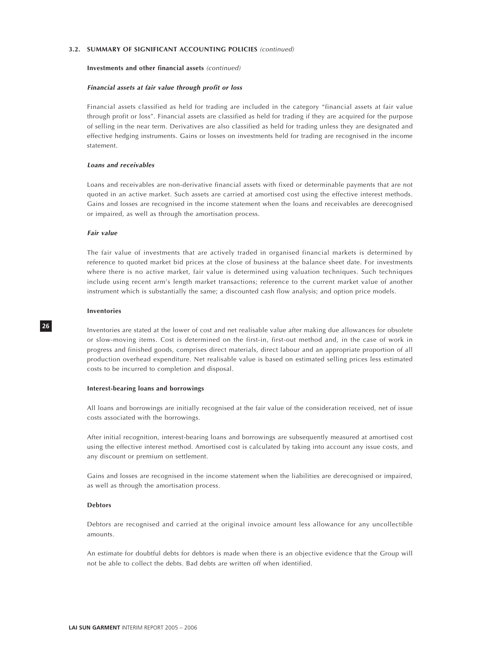### **Investments and other financial assets** (continued)

### **Financial assets at fair value through profit or loss**

Financial assets classified as held for trading are included in the category "financial assets at fair value through profit or loss". Financial assets are classified as held for trading if they are acquired for the purpose of selling in the near term. Derivatives are also classified as held for trading unless they are designated and effective hedging instruments. Gains or losses on investments held for trading are recognised in the income statement.

#### **Loans and receivables**

Loans and receivables are non-derivative financial assets with fixed or determinable payments that are not quoted in an active market. Such assets are carried at amortised cost using the effective interest methods. Gains and losses are recognised in the income statement when the loans and receivables are derecognised or impaired, as well as through the amortisation process.

#### **Fair value**

The fair value of investments that are actively traded in organised financial markets is determined by reference to quoted market bid prices at the close of business at the balance sheet date. For investments where there is no active market, fair value is determined using valuation techniques. Such techniques include using recent arm's length market transactions; reference to the current market value of another instrument which is substantially the same; a discounted cash flow analysis; and option price models.

#### **Inventories**

Inventories are stated at the lower of cost and net realisable value after making due allowances for obsolete or slow-moving items. Cost is determined on the first-in, first-out method and, in the case of work in progress and finished goods, comprises direct materials, direct labour and an appropriate proportion of all production overhead expenditure. Net realisable value is based on estimated selling prices less estimated costs to be incurred to completion and disposal.

#### **Interest-bearing loans and borrowings**

All loans and borrowings are initially recognised at the fair value of the consideration received, net of issue costs associated with the borrowings.

After initial recognition, interest-bearing loans and borrowings are subsequently measured at amortised cost using the effective interest method. Amortised cost is calculated by taking into account any issue costs, and any discount or premium on settlement.

Gains and losses are recognised in the income statement when the liabilities are derecognised or impaired, as well as through the amortisation process.

# **Debtors**

Debtors are recognised and carried at the original invoice amount less allowance for any uncollectible amounts.

An estimate for doubtful debts for debtors is made when there is an objective evidence that the Group will not be able to collect the debts. Bad debts are written off when identified.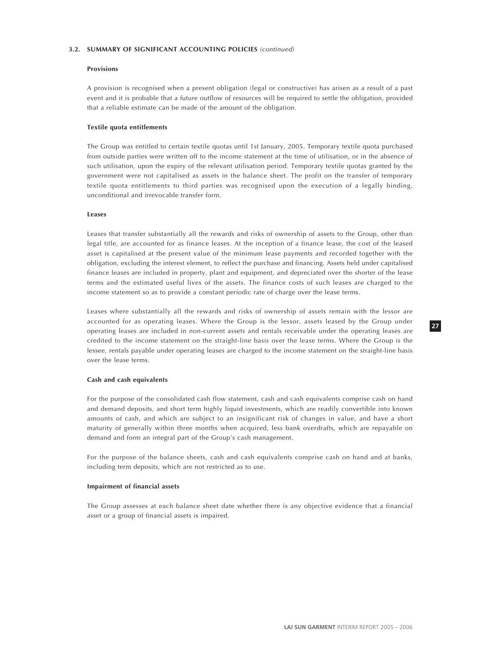### **Provisions**

A provision is recognised when a present obligation (legal or constructive) has arisen as a result of a past event and it is probable that a future outflow of resources will be required to settle the obligation, provided that a reliable estimate can be made of the amount of the obligation.

#### **Textile quota entitlements**

The Group was entitled to certain textile quotas until 1st January, 2005. Temporary textile quota purchased from outside parties were written off to the income statement at the time of utilisation, or in the absence of such utilisation, upon the expiry of the relevant utilisation period. Temporary textile quotas granted by the government were not capitalised as assets in the balance sheet. The profit on the transfer of temporary textile quota entitlements to third parties was recognised upon the execution of a legally binding, unconditional and irrevocable transfer form.

### **Leases**

Leases that transfer substantially all the rewards and risks of ownership of assets to the Group, other than legal title, are accounted for as finance leases. At the inception of a finance lease, the cost of the leased asset is capitalised at the present value of the minimum lease payments and recorded together with the obligation, excluding the interest element, to reflect the purchase and financing. Assets held under capitalised finance leases are included in property, plant and equipment, and depreciated over the shorter of the lease terms and the estimated useful lives of the assets. The finance costs of such leases are charged to the income statement so as to provide a constant periodic rate of charge over the lease terms.

Leases where substantially all the rewards and risks of ownership of assets remain with the lessor are accounted for as operating leases. Where the Group is the lessor, assets leased by the Group under operating leases are included in non-current assets and rentals receivable under the operating leases are credited to the income statement on the straight-line basis over the lease terms. Where the Group is the lessee, rentals payable under operating leases are charged to the income statement on the straight-line basis over the lease terms.

### **Cash and cash equivalents**

For the purpose of the consolidated cash flow statement, cash and cash equivalents comprise cash on hand and demand deposits, and short term highly liquid investments, which are readily convertible into known amounts of cash, and which are subject to an insignificant risk of changes in value, and have a short maturity of generally within three months when acquired, less bank overdrafts, which are repayable on demand and form an integral part of the Group's cash management.

For the purpose of the balance sheets, cash and cash equivalents comprise cash on hand and at banks, including term deposits, which are not restricted as to use.

#### **Impairment of financial assets**

The Group assesses at each balance sheet date whether there is any objective evidence that a financial asset or a group of financial assets is impaired.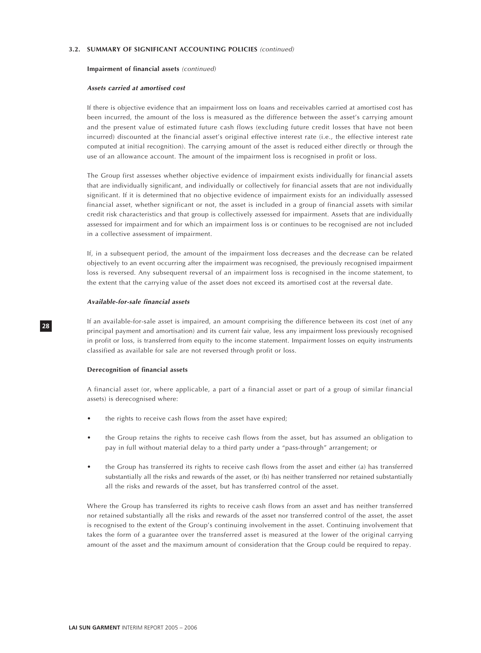#### **Impairment of financial assets** (continued)

#### **Assets carried at amortised cost**

If there is objective evidence that an impairment loss on loans and receivables carried at amortised cost has been incurred, the amount of the loss is measured as the difference between the asset's carrying amount and the present value of estimated future cash flows (excluding future credit losses that have not been incurred) discounted at the financial asset's original effective interest rate (i.e., the effective interest rate computed at initial recognition). The carrying amount of the asset is reduced either directly or through the use of an allowance account. The amount of the impairment loss is recognised in profit or loss.

The Group first assesses whether objective evidence of impairment exists individually for financial assets that are individually significant, and individually or collectively for financial assets that are not individually significant. If it is determined that no objective evidence of impairment exists for an individually assessed financial asset, whether significant or not, the asset is included in a group of financial assets with similar credit risk characteristics and that group is collectively assessed for impairment. Assets that are individually assessed for impairment and for which an impairment loss is or continues to be recognised are not included in a collective assessment of impairment.

If, in a subsequent period, the amount of the impairment loss decreases and the decrease can be related objectively to an event occurring after the impairment was recognised, the previously recognised impairment loss is reversed. Any subsequent reversal of an impairment loss is recognised in the income statement, to the extent that the carrying value of the asset does not exceed its amortised cost at the reversal date.

#### **Available-for-sale financial assets**

If an available-for-sale asset is impaired, an amount comprising the difference between its cost (net of any principal payment and amortisation) and its current fair value, less any impairment loss previously recognised in profit or loss, is transferred from equity to the income statement. Impairment losses on equity instruments classified as available for sale are not reversed through profit or loss.

#### **Derecognition of financial assets**

A financial asset (or, where applicable, a part of a financial asset or part of a group of similar financial assets) is derecognised where:

- the rights to receive cash flows from the asset have expired;
- the Group retains the rights to receive cash flows from the asset, but has assumed an obligation to pay in full without material delay to a third party under a "pass-through" arrangement; or
- the Group has transferred its rights to receive cash flows from the asset and either (a) has transferred substantially all the risks and rewards of the asset, or (b) has neither transferred nor retained substantially all the risks and rewards of the asset, but has transferred control of the asset.

Where the Group has transferred its rights to receive cash flows from an asset and has neither transferred nor retained substantially all the risks and rewards of the asset nor transferred control of the asset, the asset is recognised to the extent of the Group's continuing involvement in the asset. Continuing involvement that takes the form of a guarantee over the transferred asset is measured at the lower of the original carrying amount of the asset and the maximum amount of consideration that the Group could be required to repay.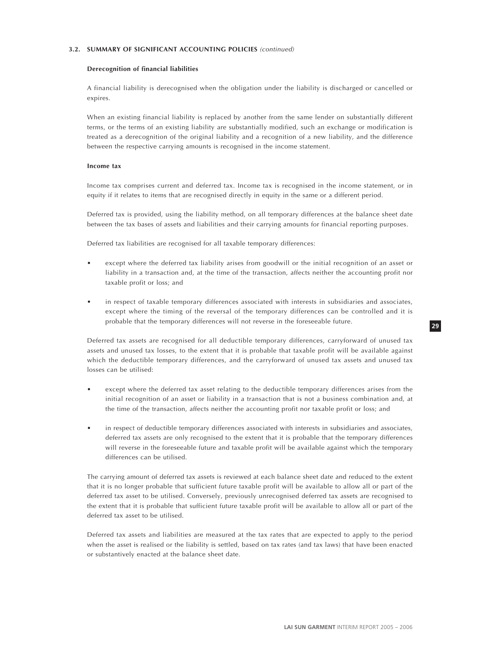#### **Derecognition of financial liabilities**

A financial liability is derecognised when the obligation under the liability is discharged or cancelled or expires.

When an existing financial liability is replaced by another from the same lender on substantially different terms, or the terms of an existing liability are substantially modified, such an exchange or modification is treated as a derecognition of the original liability and a recognition of a new liability, and the difference between the respective carrying amounts is recognised in the income statement.

#### **Income tax**

Income tax comprises current and deferred tax. Income tax is recognised in the income statement, or in equity if it relates to items that are recognised directly in equity in the same or a different period.

Deferred tax is provided, using the liability method, on all temporary differences at the balance sheet date between the tax bases of assets and liabilities and their carrying amounts for financial reporting purposes.

Deferred tax liabilities are recognised for all taxable temporary differences:

- except where the deferred tax liability arises from goodwill or the initial recognition of an asset or liability in a transaction and, at the time of the transaction, affects neither the accounting profit nor taxable profit or loss; and
- in respect of taxable temporary differences associated with interests in subsidiaries and associates, except where the timing of the reversal of the temporary differences can be controlled and it is probable that the temporary differences will not reverse in the foreseeable future.

Deferred tax assets are recognised for all deductible temporary differences, carryforward of unused tax assets and unused tax losses, to the extent that it is probable that taxable profit will be available against which the deductible temporary differences, and the carryforward of unused tax assets and unused tax losses can be utilised:

- except where the deferred tax asset relating to the deductible temporary differences arises from the initial recognition of an asset or liability in a transaction that is not a business combination and, at the time of the transaction, affects neither the accounting profit nor taxable profit or loss; and
- in respect of deductible temporary differences associated with interests in subsidiaries and associates, deferred tax assets are only recognised to the extent that it is probable that the temporary differences will reverse in the foreseeable future and taxable profit will be available against which the temporary differences can be utilised.

The carrying amount of deferred tax assets is reviewed at each balance sheet date and reduced to the extent that it is no longer probable that sufficient future taxable profit will be available to allow all or part of the deferred tax asset to be utilised. Conversely, previously unrecognised deferred tax assets are recognised to the extent that it is probable that sufficient future taxable profit will be available to allow all or part of the deferred tax asset to be utilised.

Deferred tax assets and liabilities are measured at the tax rates that are expected to apply to the period when the asset is realised or the liability is settled, based on tax rates (and tax laws) that have been enacted or substantively enacted at the balance sheet date.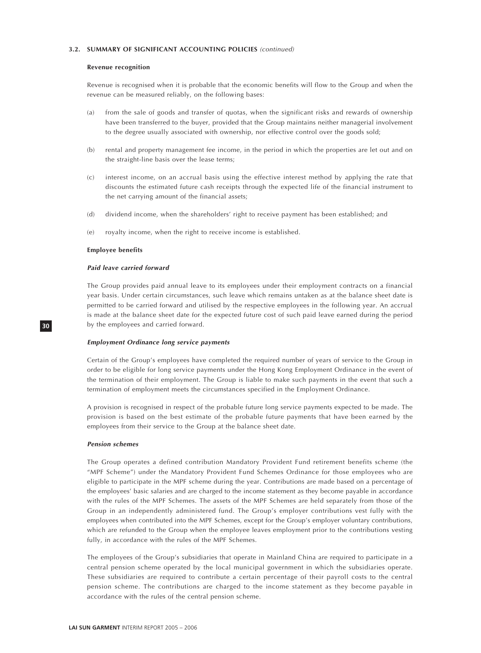#### **Revenue recognition**

Revenue is recognised when it is probable that the economic benefits will flow to the Group and when the revenue can be measured reliably, on the following bases:

- (a) from the sale of goods and transfer of quotas, when the significant risks and rewards of ownership have been transferred to the buyer, provided that the Group maintains neither managerial involvement to the degree usually associated with ownership, nor effective control over the goods sold;
- (b) rental and property management fee income, in the period in which the properties are let out and on the straight-line basis over the lease terms;
- (c) interest income, on an accrual basis using the effective interest method by applying the rate that discounts the estimated future cash receipts through the expected life of the financial instrument to the net carrying amount of the financial assets;
- (d) dividend income, when the shareholders' right to receive payment has been established; and
- (e) royalty income, when the right to receive income is established.

#### **Employee benefits**

### **Paid leave carried forward**

The Group provides paid annual leave to its employees under their employment contracts on a financial year basis. Under certain circumstances, such leave which remains untaken as at the balance sheet date is permitted to be carried forward and utilised by the respective employees in the following year. An accrual is made at the balance sheet date for the expected future cost of such paid leave earned during the period by the employees and carried forward.

#### **Employment Ordinance long service payments**

Certain of the Group's employees have completed the required number of years of service to the Group in order to be eligible for long service payments under the Hong Kong Employment Ordinance in the event of the termination of their employment. The Group is liable to make such payments in the event that such a termination of employment meets the circumstances specified in the Employment Ordinance.

A provision is recognised in respect of the probable future long service payments expected to be made. The provision is based on the best estimate of the probable future payments that have been earned by the employees from their service to the Group at the balance sheet date.

#### **Pension schemes**

The Group operates a defined contribution Mandatory Provident Fund retirement benefits scheme (the "MPF Scheme") under the Mandatory Provident Fund Schemes Ordinance for those employees who are eligible to participate in the MPF scheme during the year. Contributions are made based on a percentage of the employees' basic salaries and are charged to the income statement as they become payable in accordance with the rules of the MPF Schemes. The assets of the MPF Schemes are held separately from those of the Group in an independently administered fund. The Group's employer contributions vest fully with the employees when contributed into the MPF Schemes, except for the Group's employer voluntary contributions, which are refunded to the Group when the employee leaves employment prior to the contributions vesting fully, in accordance with the rules of the MPF Schemes.

The employees of the Group's subsidiaries that operate in Mainland China are required to participate in a central pension scheme operated by the local municipal government in which the subsidiaries operate. These subsidiaries are required to contribute a certain percentage of their payroll costs to the central pension scheme. The contributions are charged to the income statement as they become payable in accordance with the rules of the central pension scheme.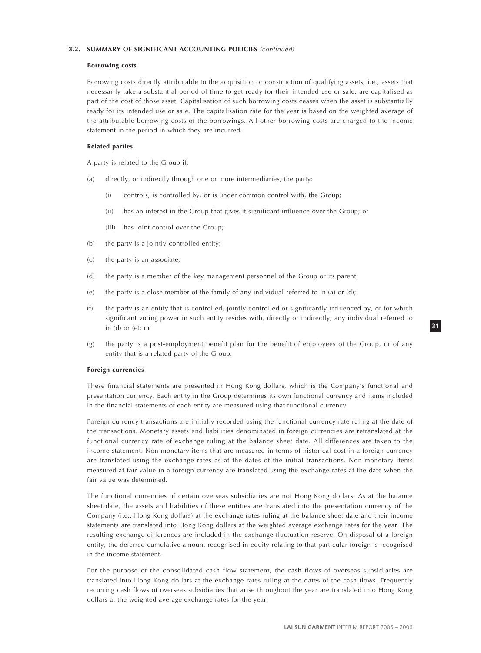#### **Borrowing costs**

Borrowing costs directly attributable to the acquisition or construction of qualifying assets, i.e., assets that necessarily take a substantial period of time to get ready for their intended use or sale, are capitalised as part of the cost of those asset. Capitalisation of such borrowing costs ceases when the asset is substantially ready for its intended use or sale. The capitalisation rate for the year is based on the weighted average of the attributable borrowing costs of the borrowings. All other borrowing costs are charged to the income statement in the period in which they are incurred.

# **Related parties**

A party is related to the Group if:

- (a) directly, or indirectly through one or more intermediaries, the party:
	- (i) controls, is controlled by, or is under common control with, the Group;
	- (ii) has an interest in the Group that gives it significant influence over the Group; or
	- (iii) has joint control over the Group;
- (b) the party is a jointly-controlled entity;
- (c) the party is an associate;
- (d) the party is a member of the key management personnel of the Group or its parent;
- (e) the party is a close member of the family of any individual referred to in (a) or (d);
- (f) the party is an entity that is controlled, jointly-controlled or significantly influenced by, or for which significant voting power in such entity resides with, directly or indirectly, any individual referred to in (d) or (e); or
- (g) the party is a post-employment benefit plan for the benefit of employees of the Group, or of any entity that is a related party of the Group.

### **Foreign currencies**

These financial statements are presented in Hong Kong dollars, which is the Company's functional and presentation currency. Each entity in the Group determines its own functional currency and items included in the financial statements of each entity are measured using that functional currency.

Foreign currency transactions are initially recorded using the functional currency rate ruling at the date of the transactions. Monetary assets and liabilities denominated in foreign currencies are retranslated at the functional currency rate of exchange ruling at the balance sheet date. All differences are taken to the income statement. Non-monetary items that are measured in terms of historical cost in a foreign currency are translated using the exchange rates as at the dates of the initial transactions. Non-monetary items measured at fair value in a foreign currency are translated using the exchange rates at the date when the fair value was determined.

The functional currencies of certain overseas subsidiaries are not Hong Kong dollars. As at the balance sheet date, the assets and liabilities of these entities are translated into the presentation currency of the Company (i.e., Hong Kong dollars) at the exchange rates ruling at the balance sheet date and their income statements are translated into Hong Kong dollars at the weighted average exchange rates for the year. The resulting exchange differences are included in the exchange fluctuation reserve. On disposal of a foreign entity, the deferred cumulative amount recognised in equity relating to that particular foreign is recognised in the income statement.

For the purpose of the consolidated cash flow statement, the cash flows of overseas subsidiaries are translated into Hong Kong dollars at the exchange rates ruling at the dates of the cash flows. Frequently recurring cash flows of overseas subsidiaries that arise throughout the year are translated into Hong Kong dollars at the weighted average exchange rates for the year.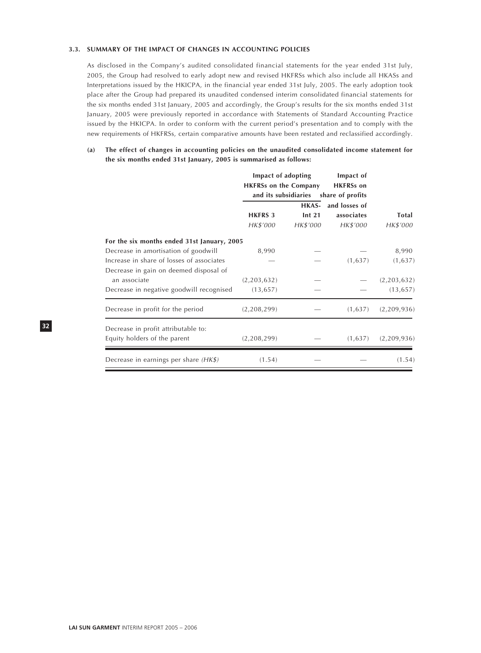### **3.3. SUMMARY OF THE IMPACT OF CHANGES IN ACCOUNTING POLICIES**

As disclosed in the Company's audited consolidated financial statements for the year ended 31st July, 2005, the Group had resolved to early adopt new and revised HKFRSs which also include all HKASs and Interpretations issued by the HKICPA, in the financial year ended 31st July, 2005. The early adoption took place after the Group had prepared its unaudited condensed interim consolidated financial statements for the six months ended 31st January, 2005 and accordingly, the Group's results for the six months ended 31st January, 2005 were previously reported in accordance with Statements of Standard Accounting Practice issued by the HKICPA. In order to conform with the current period's presentation and to comply with the new requirements of HKFRSs, certain comparative amounts have been restated and reclassified accordingly.

**(a) The effect of changes in accounting policies on the unaudited consolidated income statement for the six months ended 31st January, 2005 is summarised as follows:**

|                                             | Impact of adopting<br><b>HKFRSs on the Company</b> |                   | Impact of<br><b>HKFRSs</b> on<br>and its subsidiaries share of profits |             |
|---------------------------------------------|----------------------------------------------------|-------------------|------------------------------------------------------------------------|-------------|
|                                             |                                                    | HKAS-             | and losses of                                                          |             |
|                                             | <b>HKFRS 3</b>                                     | Int <sub>21</sub> | associates                                                             | Total       |
|                                             | HK\$'000                                           | HK\$'000          | HK\$'000                                                               | HK\$'000    |
| For the six months ended 31st January, 2005 |                                                    |                   |                                                                        |             |
| Decrease in amortisation of goodwill        | 8,990                                              |                   |                                                                        | 8,990       |
| Increase in share of losses of associates   |                                                    |                   | (1,637)                                                                | (1,637)     |
| Decrease in gain on deemed disposal of      |                                                    |                   |                                                                        |             |
| an associate                                | (2,203,632)                                        |                   |                                                                        | (2,203,632) |
| Decrease in negative goodwill recognised    | (13, 657)                                          |                   |                                                                        | (13, 657)   |
| Decrease in profit for the period           | (2,208,299)                                        |                   | (1,637)                                                                | (2,209,936) |
| Decrease in profit attributable to:         |                                                    |                   |                                                                        |             |
| Equity holders of the parent                | (2,208,299)                                        |                   | (1,637)                                                                | (2,209,936) |
| Decrease in earnings per share $(HK\$ )     | (1.54)                                             |                   |                                                                        | (1.54)      |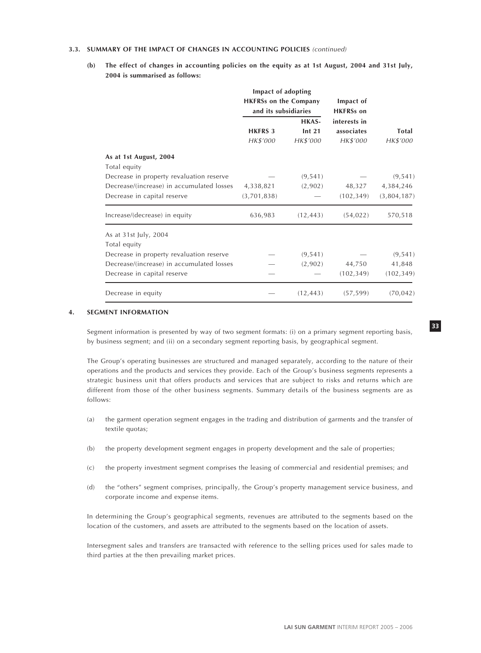# **3.3. SUMMARY OF THE IMPACT OF CHANGES IN ACCOUNTING POLICIES** (continued)

**(b) The effect of changes in accounting policies on the equity as at 1st August, 2004 and 31st July, 2004 is summarised as follows:**

|                                           | Impact of adopting<br><b>HKFRSs on the Company</b><br>and its subsidiaries |                                        | Impact of<br><b>HKFRSs</b> on          |                   |  |
|-------------------------------------------|----------------------------------------------------------------------------|----------------------------------------|----------------------------------------|-------------------|--|
|                                           | <b>HKFRS 3</b><br>HK\$'000                                                 | HKAS-<br>Int <sub>21</sub><br>HK\$'000 | interests in<br>associates<br>HK\$'000 | Total<br>HK\$'000 |  |
| As at 1st August, 2004                    |                                                                            |                                        |                                        |                   |  |
| Total equity                              |                                                                            |                                        |                                        |                   |  |
| Decrease in property revaluation reserve  |                                                                            | (9, 541)                               |                                        | (9, 541)          |  |
| Decrease/(increase) in accumulated losses | 4,338,821                                                                  | (2,902)                                | 48,327                                 | 4,384,246         |  |
| Decrease in capital reserve               | (3,701,838)                                                                |                                        | (102, 349)                             | (3,804,187)       |  |
| Increase/(decrease) in equity             | 636,983                                                                    | (12, 443)                              | (54, 022)                              | 570,518           |  |
| As at 31st July, 2004                     |                                                                            |                                        |                                        |                   |  |
| Total equity                              |                                                                            |                                        |                                        |                   |  |
| Decrease in property revaluation reserve  |                                                                            | (9, 541)                               |                                        | (9, 541)          |  |
| Decrease/(increase) in accumulated losses |                                                                            | (2,902)                                | 44,750                                 | 41,848            |  |
| Decrease in capital reserve               |                                                                            |                                        | (102, 349)                             | (102, 349)        |  |
| Decrease in equity                        |                                                                            | (12, 443)                              | (57, 599)                              | (70, 042)         |  |

# **4. SEGMENT INFORMATION**

Segment information is presented by way of two segment formats: (i) on a primary segment reporting basis, by business segment; and (ii) on a secondary segment reporting basis, by geographical segment.

The Group's operating businesses are structured and managed separately, according to the nature of their operations and the products and services they provide. Each of the Group's business segments represents a strategic business unit that offers products and services that are subject to risks and returns which are different from those of the other business segments. Summary details of the business segments are as follows:

- (a) the garment operation segment engages in the trading and distribution of garments and the transfer of textile quotas;
- (b) the property development segment engages in property development and the sale of properties;
- (c) the property investment segment comprises the leasing of commercial and residential premises; and
- (d) the "others" segment comprises, principally, the Group's property management service business, and corporate income and expense items.

In determining the Group's geographical segments, revenues are attributed to the segments based on the location of the customers, and assets are attributed to the segments based on the location of assets.

Intersegment sales and transfers are transacted with reference to the selling prices used for sales made to third parties at the then prevailing market prices.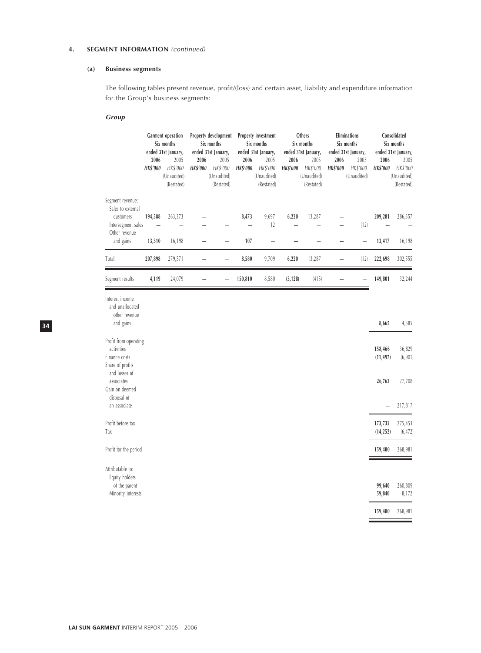# **4.** SEGMENT INFORMATION (continued)

# **(a) Business segments**

The following tables present revenue, profit/(loss) and certain asset, liability and expenditure information for the Group's business segments:

# **Group**

**34**

|                                                                                                        | 2006<br><b>HK\$'000</b> | <b>Garment</b> operation<br>Six months<br>ended 31st January,<br>2005<br>HK\$'000<br>(Unaudited)<br>(Restated) | 2006<br><b>HK\$'000</b> | Property development<br>Six months<br>ended 31st January,<br>2005<br>HK\$'000<br>(Unaudited)<br>(Restated) | 2006<br><b>HK\$'000</b> | Property investment<br>Six months<br>ended 31st January,<br>2005<br>HK\$'000<br>(Unaudited)<br>(Restated) | 2006<br><b>HK\$'000</b> | Others<br>Six months<br>ended 31st January,<br>2005<br>HK\$'000<br>(Unaudited)<br>(Restated) | 2006<br><b>HK\$'000</b> | Eliminations<br>Six months<br>ended 31st January,<br>2005<br>HK\$'000<br>(Unaudited) | 2006<br><b>HK\$'000</b> | Consolidated<br>Six months<br>ended 31st January,<br>2005<br>HK\$'000<br>(Unaudited)<br>(Restated) |
|--------------------------------------------------------------------------------------------------------|-------------------------|----------------------------------------------------------------------------------------------------------------|-------------------------|------------------------------------------------------------------------------------------------------------|-------------------------|-----------------------------------------------------------------------------------------------------------|-------------------------|----------------------------------------------------------------------------------------------|-------------------------|--------------------------------------------------------------------------------------|-------------------------|----------------------------------------------------------------------------------------------------|
| Segment revenue:<br>Sales to external<br>customers<br>Intersegment sales<br>Other revenue<br>and gains | 194,588<br>13,310       | 263,373<br>16,198                                                                                              |                         |                                                                                                            | 8,473<br>107            | 9,697<br>12                                                                                               | 6,220                   | 13,287                                                                                       |                         | (12)<br>$\overline{\phantom{0}}$                                                     | 209,281<br>13,417       | 286,357<br>16,198                                                                                  |
| Total                                                                                                  | 207,898                 | 279,571                                                                                                        |                         |                                                                                                            | 8,580                   | 9,709                                                                                                     | 6,220                   | 13,287                                                                                       |                         | (12)                                                                                 | 222,698                 | 302,555                                                                                            |
| Segment results                                                                                        | 4,119                   | 24,079                                                                                                         |                         |                                                                                                            | 150,810                 | 8,580                                                                                                     | (5, 128)                | (415)                                                                                        |                         |                                                                                      | 149,801                 | 32,244                                                                                             |
| Interest income<br>and unallocated<br>other revenue<br>and gains                                       |                         |                                                                                                                |                         |                                                                                                            |                         |                                                                                                           |                         |                                                                                              |                         |                                                                                      | 8,665                   | 4,585                                                                                              |
| Profit from operating<br>activities<br>Finance costs<br>Share of profits<br>and losses of              |                         |                                                                                                                |                         |                                                                                                            |                         |                                                                                                           |                         |                                                                                              |                         |                                                                                      | 158,466<br>(11, 497)    | 36,829<br>(6,901)                                                                                  |
| associates<br>Gain on deemed<br>disposal of<br>an associate                                            |                         |                                                                                                                |                         |                                                                                                            |                         |                                                                                                           |                         |                                                                                              |                         |                                                                                      | 26,763                  | 27,708<br>217,817                                                                                  |
| Profit before tax<br>Tax                                                                               |                         |                                                                                                                |                         |                                                                                                            |                         |                                                                                                           |                         |                                                                                              |                         |                                                                                      | 173,732<br>(14, 252)    | 275,453<br>(6, 472)                                                                                |

Profit for the period **159,480** 268,981

Attributable to: Equity holders<br>of the parent

of the parent **99,640** 260,809 Minority interests **59,840** 8,172 **159,480** 268,981

Ξ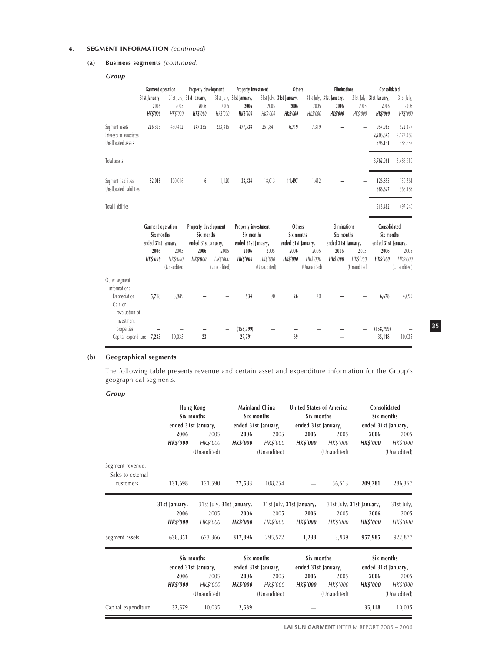# **4. SEGMENT INFORMATION** (continued)

# **(a) Business segments** (continued)

**Group**

|                                                                            | Garment operation<br>31st January,<br>2006             | 2005                            | Property development<br>31st July, 31st January,<br>2006  | 2005                            | Property investment<br>31st July, 31st January,<br>2006  | 2005                            | Others<br>31st July, 31st January,<br>2006  | 2005                            | <b>Eliminations</b><br>31st July, 31st January,<br>2006  | 2005                            | Consolidated<br>31st July, 31st January,<br>2006  | 31st July,<br>2005              |
|----------------------------------------------------------------------------|--------------------------------------------------------|---------------------------------|-----------------------------------------------------------|---------------------------------|----------------------------------------------------------|---------------------------------|---------------------------------------------|---------------------------------|----------------------------------------------------------|---------------------------------|---------------------------------------------------|---------------------------------|
|                                                                            | <b>HK\$'000</b>                                        | HK\$'000                        | <b>HK\$'000</b>                                           | HK\$'000                        | <b>HK\$'000</b>                                          | HK\$'000                        | <b>HK\$'000</b>                             | HK\$'000                        | <b>HK\$'000</b>                                          | HK\$'000                        | <b>HK\$'000</b>                                   | HK\$'000                        |
| Segment assets<br>Interests in associates<br>Unallocated assets            | 226,393                                                | 430,402                         | 247,335                                                   | 233,315                         | 477,538                                                  | 251,841                         | 6,719                                       | 7,319                           |                                                          |                                 | 957,985<br>2,208,845<br>596,131                   | 922,877<br>2,177,085<br>386,357 |
| Total assets                                                               |                                                        |                                 |                                                           |                                 |                                                          |                                 |                                             |                                 |                                                          |                                 | 3,762,961                                         | 3,486,319                       |
| Segment liabilities<br>Unallocated liabilities                             | 82,018                                                 | 100,016                         | 6                                                         | 1,120                           | 33,334                                                   | 18,013                          | 11,497                                      | 11,412                          |                                                          |                                 | 126,855<br>386,627                                | 130,561<br>366,685              |
| <b>Total liabilities</b>                                                   |                                                        |                                 |                                                           |                                 |                                                          |                                 |                                             |                                 |                                                          |                                 | 513,482                                           | 497,246                         |
|                                                                            | Garment operation<br>Six months<br>ended 31st January, |                                 | Property development<br>Six months<br>ended 31st January, |                                 | Property investment<br>Six months<br>ended 31st January, |                                 | Others<br>Six months<br>ended 31st January, |                                 | <b>Eliminations</b><br>Six months<br>ended 31st January, |                                 | Consolidated<br>Six months<br>ended 31st January, |                                 |
|                                                                            | 2006<br><b>HK\$'000</b>                                | 2005<br>HK\$'000<br>(Unaudited) | 2006<br><b>HK\$'000</b>                                   | 2005<br>HK\$'000<br>(Unaudited) | 2006<br><b>HK\$'000</b>                                  | 2005<br>HK\$'000<br>(Unaudited) | 2006<br><b>HK\$'000</b>                     | 2005<br>HK\$'000<br>(Unaudited) | 2006<br><b>HK\$'000</b>                                  | 2005<br>HK\$'000<br>(Unaudited) | 2006<br><b>HK\$'000</b>                           | 2005<br>HK\$'000<br>(Unaudited) |
| Other segment<br>information:<br>Depreciation<br>Gain on<br>revaluation of | 5,718                                                  | 3,989                           |                                                           |                                 | 934                                                      | 90                              | 26                                          | 20                              |                                                          |                                 | 6,678                                             | 4,099                           |
|                                                                            |                                                        |                                 |                                                           |                                 |                                                          |                                 |                                             |                                 |                                                          |                                 |                                                   |                                 |

# **(b) Geographical segments**

The following table presents revenue and certain asset and expenditure information for the Group's geographical segments.

# **Group**

|                                       | Hong Kong<br>Six months |                     | Mainland China<br>Six months |                     |                          | United States of America<br>Six months | Consolidated<br>Six months |                     |  |
|---------------------------------------|-------------------------|---------------------|------------------------------|---------------------|--------------------------|----------------------------------------|----------------------------|---------------------|--|
|                                       |                         | ended 31st January, |                              | ended 31st January, |                          | ended 31st January,                    |                            | ended 31st January, |  |
|                                       | 2006                    | 2005                | 2006                         | 2005                | 2006                     | 2005                                   | 2006                       | 2005                |  |
|                                       | <b>HK\$'000</b>         | HK\$'000            | <b>HK\$'000</b>              | HK\$'000            | <b>HK\$'000</b>          | HK\$'000                               | <b>HK\$'000</b>            | HK\$'000            |  |
|                                       |                         | (Unaudited)         |                              | (Unaudited)         |                          | (Unaudited)                            |                            | (Unaudited)         |  |
| Segment revenue:<br>Sales to external |                         |                     |                              |                     |                          |                                        |                            |                     |  |
| customers                             | 131,698                 | 121,590             | 77,583                       | 108,254             |                          | 56,513                                 | 209,281                    | 286,357             |  |
|                                       | 31st January,           |                     | 31st July, 31st January,     |                     | 31st July, 31st January, |                                        | 31st July, 31st January,   | 31st July,          |  |
|                                       | 2006                    | 2005                | 2006                         | 2005                | 2006                     | 2005                                   | 2006                       | 2005                |  |
|                                       | <b>HK\$'000</b>         | HK\$'000            | <b>HK\$'000</b>              | HK\$'000            | <b>HK\$'000</b>          | HK\$'000                               | <b>HK\$'000</b>            | HK\$'000            |  |
| Segment assets                        | 638,851                 | 623,366             | 317,896                      | 295,572             | 1,238                    | 3,939                                  | 957,985                    | 922,877             |  |
|                                       |                         | Six months          |                              | Six months          |                          | Six months                             |                            | Six months          |  |
|                                       |                         | ended 31st January, |                              | ended 31st January, |                          | ended 31st January,                    |                            | ended 31st January, |  |
|                                       | 2006                    | 2005                | 2006                         | 2005                | 2006                     | 2005                                   | 2006                       | 2005                |  |
|                                       | <b>HK\$'000</b>         | HK\$'000            | <b>HK\$'000</b>              | HK\$'000            | <b>HK\$'000</b>          | HK\$'000                               | <b>HK\$'000</b>            | HK\$'000            |  |
|                                       |                         | (Unaudited)         |                              | (Unaudited)         |                          | (Unaudited)                            |                            | (Unaudited)         |  |
| Capital expenditure                   | 32,579                  | 10,035              | 2,539                        |                     |                          |                                        | 35,118                     | 10,035              |  |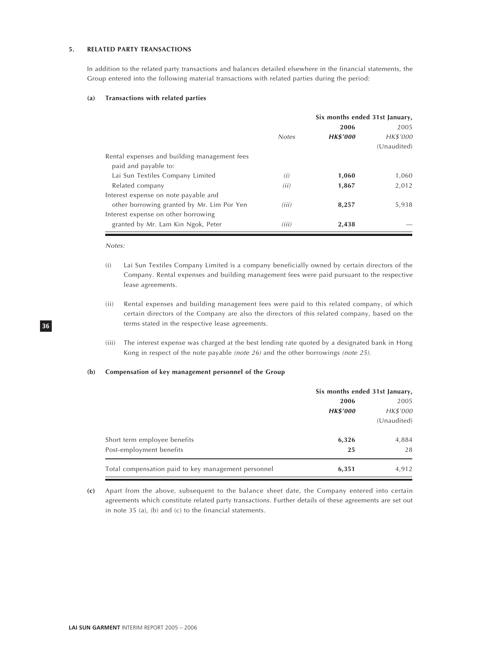#### **5. RELATED PARTY TRANSACTIONS**

In addition to the related party transactions and balances detailed elsewhere in the financial statements, the Group entered into the following material transactions with related parties during the period:

#### **(a) Transactions with related parties**

|                                              |              | Six months ended 31st January, |             |  |
|----------------------------------------------|--------------|--------------------------------|-------------|--|
|                                              |              | 2006                           | 2005        |  |
|                                              | <b>Notes</b> | <b>HK\$'000</b>                | HK\$'000    |  |
|                                              |              |                                | (Unaudited) |  |
| Rental expenses and building management fees |              |                                |             |  |
| paid and payable to:                         |              |                                |             |  |
| Lai Sun Textiles Company Limited             | (i)          | 1,060                          | 1,060       |  |
| Related company                              | (ii)         | 1,867                          | 2,012       |  |
| Interest expense on note payable and         |              |                                |             |  |
| other borrowing granted by Mr. Lim Por Yen   | (iii)        | 8,257                          | 5,938       |  |
| Interest expense on other borrowing          |              |                                |             |  |
| granted by Mr. Lam Kin Ngok, Peter           | (iii)        | 2,438                          |             |  |

### Notes:

**36**

- (i) Lai Sun Textiles Company Limited is a company beneficially owned by certain directors of the Company. Rental expenses and building management fees were paid pursuant to the respective lease agreements.
- (ii) Rental expenses and building management fees were paid to this related company, of which certain directors of the Company are also the directors of this related company, based on the terms stated in the respective lease agreements.
- (iii) The interest expense was charged at the best lending rate quoted by a designated bank in Hong Kong in respect of the note payable (note 26) and the other borrowings (note 25).

# **(b) Compensation of key management personnel of the Group**

|                                                     |                 | Six months ended 31st January, |  |  |
|-----------------------------------------------------|-----------------|--------------------------------|--|--|
|                                                     | 2006            | 2005                           |  |  |
|                                                     | <b>HK\$'000</b> | HK\$'000                       |  |  |
|                                                     |                 | (Unaudited)                    |  |  |
| Short term employee benefits                        | 6,326           | 4,884                          |  |  |
| Post-employment benefits                            | 25              | 28                             |  |  |
| Total compensation paid to key management personnel | 6,351           | 4,912                          |  |  |

**(c)** Apart from the above, subsequent to the balance sheet date, the Company entered into certain agreements which constitute related party transactions. Further details of these agreements are set out in note 35 (a), (b) and (c) to the financial statements.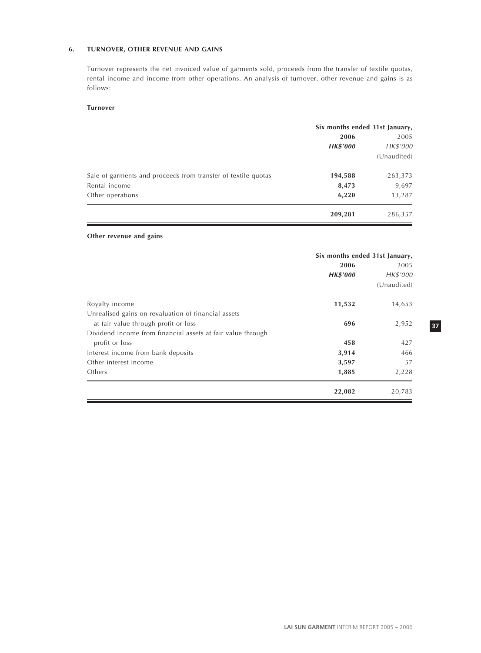# **6. TURNOVER, OTHER REVENUE AND GAINS**

Turnover represents the net invoiced value of garments sold, proceeds from the transfer of textile quotas, rental income and income from other operations. An analysis of turnover, other revenue and gains is as follows:

# **Turnover**

|                                                               | Six months ended 31st January, |             |  |  |
|---------------------------------------------------------------|--------------------------------|-------------|--|--|
|                                                               | 2006                           | 2005        |  |  |
|                                                               | <b>HK\$'000</b>                | HK\$'000    |  |  |
|                                                               |                                | (Unaudited) |  |  |
| Sale of garments and proceeds from transfer of textile quotas | 194,588                        | 263,373     |  |  |
| Rental income                                                 | 8,473                          | 9,697       |  |  |
| Other operations                                              | 6,220                          | 13,287      |  |  |
|                                                               | 209,281                        | 286,357     |  |  |

# **Other revenue and gains**

|                                                             | Six months ended 31st January, |             |  |  |
|-------------------------------------------------------------|--------------------------------|-------------|--|--|
|                                                             | 2006                           | 2005        |  |  |
|                                                             | <b>HK\$'000</b>                | HK\$'000    |  |  |
|                                                             |                                | (Unaudited) |  |  |
| Royalty income                                              | 11,532                         | 14,653      |  |  |
| Unrealised gains on revaluation of financial assets         |                                |             |  |  |
| at fair value through profit or loss                        | 696                            | 2,952       |  |  |
| Dividend income from financial assets at fair value through |                                |             |  |  |
| profit or loss                                              | 458                            | 427         |  |  |
| Interest income from bank deposits                          | 3,914                          | 466         |  |  |
| Other interest income                                       | 3,597                          | 57          |  |  |
| Others                                                      | 1,885                          | 2,228       |  |  |
|                                                             | 22,082                         | 20,783      |  |  |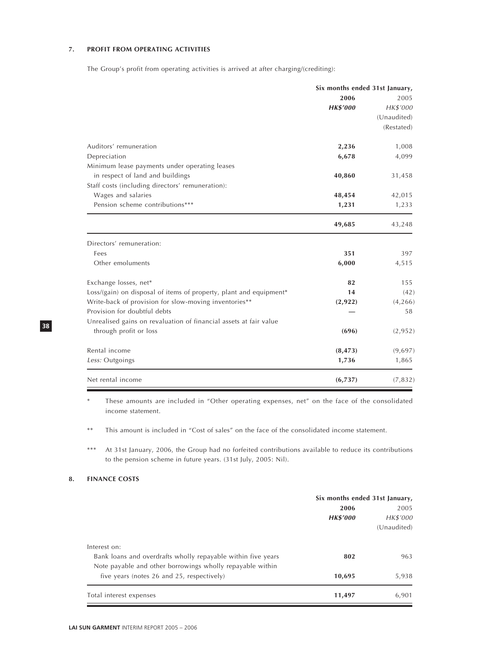# **7. PROFIT FROM OPERATING ACTIVITIES**

The Group's profit from operating activities is arrived at after charging/(crediting):

|                                                                    | Six months ended 31st January, |             |  |
|--------------------------------------------------------------------|--------------------------------|-------------|--|
|                                                                    | 2006                           | 2005        |  |
|                                                                    | <b>HK\$'000</b>                | HK\$'000    |  |
|                                                                    |                                | (Unaudited) |  |
|                                                                    |                                | (Restated)  |  |
| Auditors' remuneration                                             | 2,236                          | 1,008       |  |
| Depreciation                                                       | 6,678                          | 4,099       |  |
| Minimum lease payments under operating leases                      |                                |             |  |
| in respect of land and buildings                                   | 40,860                         | 31,458      |  |
| Staff costs (including directors' remuneration):                   |                                |             |  |
| Wages and salaries                                                 | 48,454                         | 42,015      |  |
| Pension scheme contributions***                                    | 1,231                          | 1,233       |  |
|                                                                    | 49,685                         | 43,248      |  |
| Directors' remuneration:                                           |                                |             |  |
| Fees                                                               | 351                            | 397         |  |
| Other emoluments                                                   | 6,000                          | 4,515       |  |
| Exchange losses, net*                                              | 82                             | 155         |  |
| Loss/(gain) on disposal of items of property, plant and equipment* | 14                             | (42)        |  |
| Write-back of provision for slow-moving inventories**              | (2,922)                        | (4, 266)    |  |
| Provision for doubtful debts                                       |                                | 58          |  |
| Unrealised gains on revaluation of financial assets at fair value  |                                |             |  |
| through profit or loss                                             | (696)                          | (2,952)     |  |
| Rental income                                                      | (8, 473)                       | (9,697)     |  |
| Less: Outgoings                                                    | 1,736                          | 1,865       |  |
| Net rental income                                                  | (6,737)                        | (7, 832)    |  |

These amounts are included in "Other operating expenses, net" on the face of the consolidated income statement.

\*\* This amount is included in "Cost of sales" on the face of the consolidated income statement.

\*\*\* At 31st January, 2006, the Group had no forfeited contributions available to reduce its contributions to the pension scheme in future years. (31st July, 2005: Nil).

# **8. FINANCE COSTS**

|                                                              | Six months ended 31st January, |             |  |
|--------------------------------------------------------------|--------------------------------|-------------|--|
|                                                              | 2006                           | 2005        |  |
|                                                              | <b>HK\$'000</b>                | HK\$'000    |  |
|                                                              |                                | (Unaudited) |  |
| Interest on:                                                 |                                |             |  |
| Bank loans and overdrafts wholly repayable within five years | 802                            | 963         |  |
| Note payable and other borrowings wholly repayable within    |                                |             |  |
| five years (notes 26 and 25, respectively)                   | 10,695                         | 5,938       |  |
| Total interest expenses                                      | 11,497                         | 6,901       |  |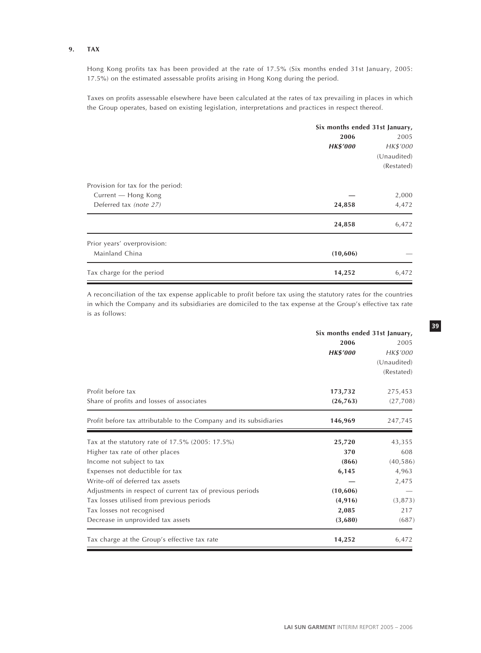# **9. TAX**

Hong Kong profits tax has been provided at the rate of 17.5% (Six months ended 31st January, 2005: 17.5%) on the estimated assessable profits arising in Hong Kong during the period.

Taxes on profits assessable elsewhere have been calculated at the rates of tax prevailing in places in which the Group operates, based on existing legislation, interpretations and practices in respect thereof.

|                                   | Six months ended 31st January, |             |  |
|-----------------------------------|--------------------------------|-------------|--|
|                                   | 2006                           | 2005        |  |
|                                   | <b>HK\$'000</b>                | HK\$'000    |  |
|                                   |                                | (Unaudited) |  |
|                                   |                                | (Restated)  |  |
| Provision for tax for the period: |                                |             |  |
| Current - Hong Kong               |                                | 2,000       |  |
| Deferred tax (note 27)            | 24,858                         | 4,472       |  |
|                                   | 24,858                         | 6,472       |  |
| Prior years' overprovision:       |                                |             |  |
| Mainland China                    | (10,606)                       |             |  |
| Tax charge for the period         | 14,252                         | 6,472       |  |

A reconciliation of the tax expense applicable to profit before tax using the statutory rates for the countries in which the Company and its subsidiaries are domiciled to the tax expense at the Group's effective tax rate is as follows:

|                                                                    | Six months ended 31st January, |             |  |
|--------------------------------------------------------------------|--------------------------------|-------------|--|
|                                                                    | 2006                           | 2005        |  |
|                                                                    | <b>HK\$'000</b>                | HK\$'000    |  |
|                                                                    |                                | (Unaudited) |  |
|                                                                    |                                | (Restated)  |  |
| Profit before tax                                                  | 173,732                        | 275,453     |  |
| Share of profits and losses of associates                          | (26, 763)                      | (27,708)    |  |
| Profit before tax attributable to the Company and its subsidiaries | 146,969                        | 247,745     |  |
| Tax at the statutory rate of 17.5% (2005: 17.5%)                   | 25,720                         | 43,355      |  |
| Higher tax rate of other places                                    | 370                            | 608         |  |
| Income not subject to tax                                          | (866)                          | (40, 586)   |  |
| Expenses not deductible for tax                                    | 6,145                          | 4,963       |  |
| Write-off of deferred tax assets                                   |                                | 2,475       |  |
| Adjustments in respect of current tax of previous periods          | (10, 606)                      |             |  |
| Tax losses utilised from previous periods                          | (4, 916)                       | (3, 873)    |  |
| Tax losses not recognised                                          | 2,085                          | 217         |  |
| Decrease in unprovided tax assets                                  | (3,680)                        | (687)       |  |
| Tax charge at the Group's effective tax rate                       | 14,252                         | 6,472       |  |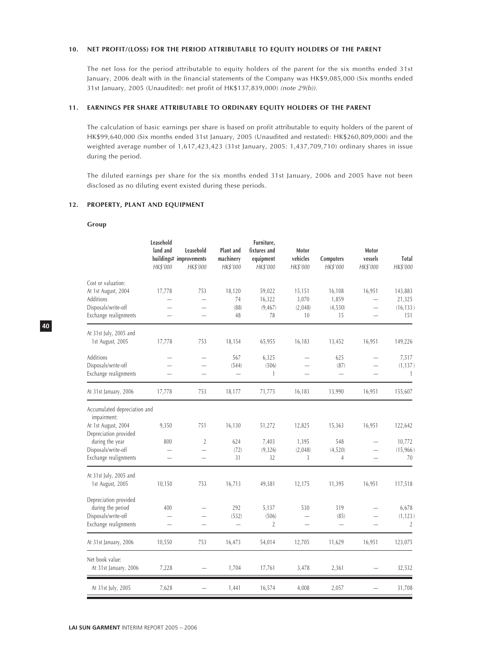### **10. NET PROFIT/(LOSS) FOR THE PERIOD ATTRIBUTABLE TO EQUITY HOLDERS OF THE PARENT**

The net loss for the period attributable to equity holders of the parent for the six months ended 31st January, 2006 dealt with in the financial statements of the Company was HK\$9,085,000 (Six months ended 31st January, 2005 (Unaudited): net profit of HK\$137,839,000) (note 29(b)).

### **11. EARNINGS PER SHARE ATTRIBUTABLE TO ORDINARY EQUITY HOLDERS OF THE PARENT**

The calculation of basic earnings per share is based on profit attributable to equity holders of the parent of HK\$99,640,000 (Six months ended 31st January, 2005 (Unaudited and restated): HK\$260,809,000) and the weighted average number of 1,617,423,423 (31st January, 2005: 1,437,709,710) ordinary shares in issue during the period.

The diluted earnings per share for the six months ended 31st January, 2006 and 2005 have not been disclosed as no diluting event existed during these periods.

## **12. PROPERTY, PLANT AND EQUIPMENT**

#### **Group**

|                                                                                                                                                                | Leasehold<br>land and<br>HK\$'000 | Leasehold<br>buildings# improvements<br>HK\$'000  | Plant and<br>machinery<br>HK\$'000       | Furniture,<br>fixtures and<br>equipment<br>HK\$'000 | Motor<br>vehicles<br>HK\$'000    | Computers<br>HK\$'000                   | Motor<br>vessels<br>HK\$'000                                                     | Total<br>HK\$'000                     |
|----------------------------------------------------------------------------------------------------------------------------------------------------------------|-----------------------------------|---------------------------------------------------|------------------------------------------|-----------------------------------------------------|----------------------------------|-----------------------------------------|----------------------------------------------------------------------------------|---------------------------------------|
| Cost or valuation:<br>At 1st August, 2004<br>Additions<br>Disposals/write-off<br>Exchange realignments                                                         | 17,778                            | 753<br>L.                                         | 18,120<br>74<br>(88)<br>48               | 59,022<br>16,322<br>(9, 467)<br>78                  | 15,151<br>3,070<br>(2,048)<br>10 | 16,108<br>1,859<br>(4, 530)<br>15       | 16,951<br>$\overline{\phantom{0}}$                                               | 143,883<br>21,325<br>(16, 133)<br>151 |
| At 31st July, 2005 and<br>1st August, 2005                                                                                                                     | 17,778                            | 753                                               | 18,154                                   | 65,955                                              | 16,183                           | 13,452                                  | 16,951                                                                           | 149,226                               |
| <b>Additions</b><br>Disposals/write-off<br>Exchange realignments                                                                                               |                                   | $\overline{\phantom{0}}$                          | 567<br>(544)<br>$\overline{\phantom{0}}$ | 6,325<br>(506)<br>$\mathbf{1}$                      | -                                | 625<br>(87)<br>$\overline{\phantom{0}}$ | $\overline{\phantom{0}}$<br>$\overline{\phantom{0}}$<br>$\overline{\phantom{0}}$ | 7,517<br>(1, 137)<br>$\mathbf{1}$     |
| At 31st January, 2006                                                                                                                                          | 17,778                            | 753                                               | 18,177                                   | 71,775                                              | 16,183                           | 13,990                                  | 16,951                                                                           | 155,607                               |
| Accumulated depreciation and<br>impairment:<br>At 1st August, 2004<br>Depreciation provided<br>during the year<br>Disposals/write-off<br>Exchange realignments | 9,350<br>800                      | 751<br>$\overline{2}$<br>$\overline{\phantom{0}}$ | 16,130<br>624<br>(72)<br>31              | 51,272<br>7,403<br>(9, 326)<br>32                   | 12,825<br>1,395<br>(2,048)<br>3  | 15,363<br>548<br>(4, 520)<br>4          | 16,951<br>$\overline{\phantom{0}}$                                               | 122,642<br>10,772<br>(15,966)<br>70   |
| At 31st July, 2005 and<br>1st August, 2005                                                                                                                     | 10,150                            | 753                                               | 16,713                                   | 49,381                                              | 12,175                           | 11,395                                  | 16,951                                                                           | 117,518                               |
| Depreciation provided<br>during the period<br>Disposals/write-off<br>Exchange realignments                                                                     | 400                               | $\overline{\phantom{0}}$                          | 292<br>(532)<br>$\overline{\phantom{0}}$ | 5,137<br>(506)<br>$\overline{2}$                    | 530                              | 319<br>(85)<br>$\overline{\phantom{0}}$ | $\overline{\phantom{0}}$                                                         | 6,678<br>(1, 123)<br>$\overline{2}$   |
| At 31st January, 2006                                                                                                                                          | 10,550                            | 753                                               | 16,473                                   | 54,014                                              | 12,705                           | 11,629                                  | 16,951                                                                           | 123,075                               |
| Net book value:<br>At 31st January, 2006                                                                                                                       | 7,228                             |                                                   | 1,704                                    | 17,761                                              | 3,478                            | 2,361                                   |                                                                                  | 32,532                                |
| At 31st July, 2005                                                                                                                                             | 7,628                             |                                                   | 1,441                                    | 16,574                                              | 4,008                            | 2,057                                   |                                                                                  | 31,708                                |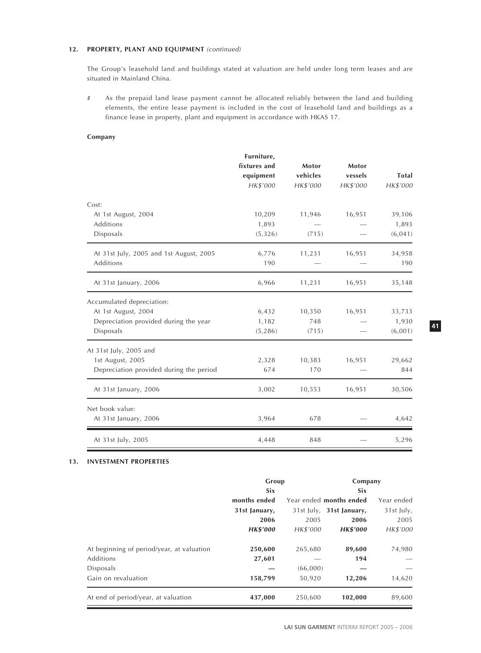# **12. PROPERTY, PLANT AND EQUIPMENT** (continued)

The Group's leasehold land and buildings stated at valuation are held under long term leases and are situated in Mainland China.

# As the prepaid land lease payment cannot be allocated reliably between the land and building elements, the entire lease payment is included in the cost of leasehold land and buildings as a finance lease in property, plant and equipment in accordance with HKAS 17.

# **Company**

|                                         | Furniture,   |          |          |              |
|-----------------------------------------|--------------|----------|----------|--------------|
|                                         | fixtures and | Motor    | Motor    |              |
|                                         | equipment    | vehicles | vessels  | <b>Total</b> |
|                                         | HK\$'000     | HK\$'000 | HK\$'000 | HK\$'000     |
| Cost:                                   |              |          |          |              |
| At 1st August, 2004                     | 10,209       | 11,946   | 16,951   | 39,106       |
| <b>Additions</b>                        | 1,893        |          |          | 1,893        |
| Disposals                               | (5, 326)     | (715)    |          | (6, 041)     |
| At 31st July, 2005 and 1st August, 2005 | 6,776        | 11,231   | 16,951   | 34,958       |
| <b>Additions</b>                        | 190          |          |          | 190          |
| At 31st January, 2006                   | 6,966        | 11,231   | 16,951   | 35,148       |
| Accumulated depreciation:               |              |          |          |              |
| At 1st August, 2004                     | 6,432        | 10,350   | 16,951   | 33,733       |
| Depreciation provided during the year   | 1,182        | 748      |          | 1,930        |
| Disposals                               | (5, 286)     | (715)    |          | (6,001)      |
| At 31st July, 2005 and                  |              |          |          |              |
| 1st August, 2005                        | 2,328        | 10,383   | 16,951   | 29,662       |
| Depreciation provided during the period | 674          | 170      |          | 844          |
| At 31st January, 2006                   | 3,002        | 10,553   | 16,951   | 30,506       |
| Net book value:                         |              |          |          |              |
| At 31st January, 2006                   | 3,964        | 678      |          | 4,642        |
| At 31st July, 2005                      | 4,448        | 848      |          | 5,296        |

# **13. INVESTMENT PROPERTIES**

|                                           | Group           |          | Company                  |            |
|-------------------------------------------|-----------------|----------|--------------------------|------------|
|                                           | Six             |          | <b>Six</b>               |            |
|                                           | months ended    |          | Year ended months ended  | Year ended |
|                                           | 31st January,   |          | 31st July, 31st January, | 31st July, |
|                                           | 2006            | 2005     | 2006                     | 2005       |
|                                           | <b>HK\$'000</b> | HK\$'000 | <b>HK\$'000</b>          | HK\$'000   |
| At beginning of period/year, at valuation | 250,600         | 265,680  | 89,600                   | 74,980     |
| Additions                                 | 27,601          |          | 194                      |            |
| Disposals                                 |                 | (66,000) |                          |            |
| Gain on revaluation                       | 158,799         | 50,920   | 12,206                   | 14,620     |
| At end of period/year, at valuation       | 437,000         | 250,600  | 102,000                  | 89,600     |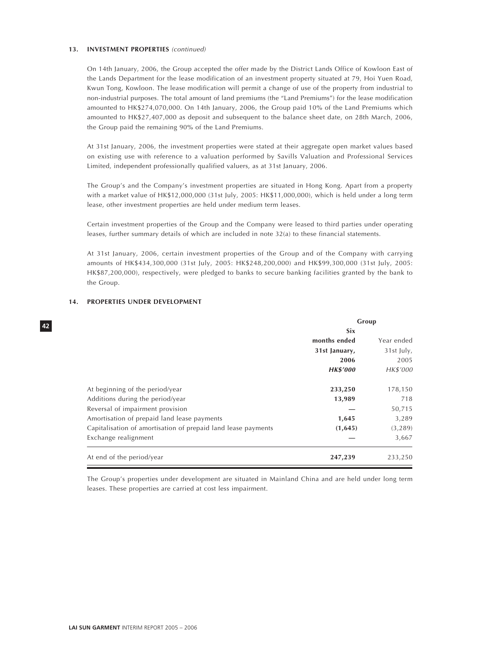#### **13. INVESTMENT PROPERTIES** (continued)

On 14th January, 2006, the Group accepted the offer made by the District Lands Office of Kowloon East of the Lands Department for the lease modification of an investment property situated at 79, Hoi Yuen Road, Kwun Tong, Kowloon. The lease modification will permit a change of use of the property from industrial to non-industrial purposes. The total amount of land premiums (the "Land Premiums") for the lease modification amounted to HK\$274,070,000. On 14th January, 2006, the Group paid 10% of the Land Premiums which amounted to HK\$27,407,000 as deposit and subsequent to the balance sheet date, on 28th March, 2006, the Group paid the remaining 90% of the Land Premiums.

At 31st January, 2006, the investment properties were stated at their aggregate open market values based on existing use with reference to a valuation performed by Savills Valuation and Professional Services Limited, independent professionally qualified valuers, as at 31st January, 2006.

The Group's and the Company's investment properties are situated in Hong Kong. Apart from a property with a market value of HK\$12,000,000 (31st July, 2005: HK\$11,000,000), which is held under a long term lease, other investment properties are held under medium term leases.

Certain investment properties of the Group and the Company were leased to third parties under operating leases, further summary details of which are included in note 32(a) to these financial statements.

At 31st January, 2006, certain investment properties of the Group and of the Company with carrying amounts of HK\$434,300,000 (31st July, 2005: HK\$248,200,000) and HK\$99,300,000 (31st July, 2005: HK\$87,200,000), respectively, were pledged to banks to secure banking facilities granted by the bank to the Group.

|                                                               | Group           |            |  |
|---------------------------------------------------------------|-----------------|------------|--|
|                                                               | Six             |            |  |
|                                                               | months ended    | Year ended |  |
|                                                               | 31st January,   | 31st July, |  |
|                                                               | 2006            | 2005       |  |
|                                                               | <b>HK\$'000</b> | HK\$'000   |  |
| At beginning of the period/year                               | 233,250         | 178,150    |  |
| Additions during the period/year                              | 13,989          | 718        |  |
| Reversal of impairment provision                              |                 | 50,715     |  |
| Amortisation of prepaid land lease payments                   | 1,645           | 3,289      |  |
| Capitalisation of amortisation of prepaid land lease payments | (1,645)         | (3, 289)   |  |
| Exchange realignment                                          |                 | 3,667      |  |
| At end of the period/year                                     | 247,239         | 233,250    |  |

# **14. PROPERTIES UNDER DEVELOPMENT**

The Group's properties under development are situated in Mainland China and are held under long term leases. These properties are carried at cost less impairment.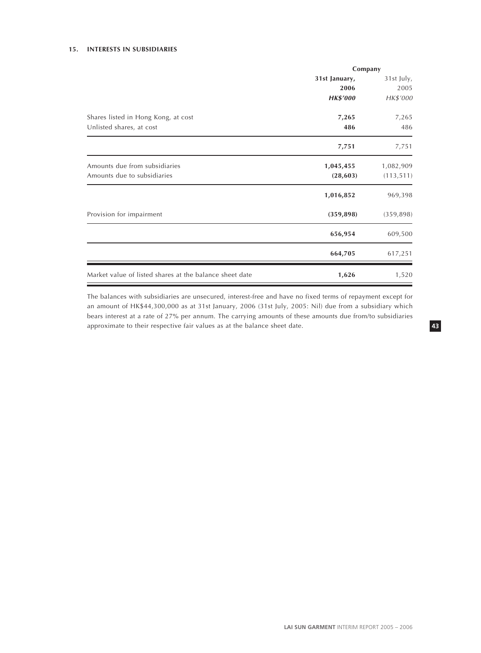# **15. INTERESTS IN SUBSIDIARIES**

|                                                         | Company         |            |  |
|---------------------------------------------------------|-----------------|------------|--|
|                                                         | 31st January,   | 31st July, |  |
|                                                         | 2006            | 2005       |  |
|                                                         | <b>HK\$'000</b> | HK\$'000   |  |
| Shares listed in Hong Kong, at cost                     | 7,265           | 7,265      |  |
| Unlisted shares, at cost                                | 486             | 486        |  |
|                                                         | 7,751           | 7,751      |  |
| Amounts due from subsidiaries                           | 1,045,455       | 1,082,909  |  |
| Amounts due to subsidiaries                             | (28, 603)       | (113, 511) |  |
|                                                         | 1,016,852       | 969,398    |  |
| Provision for impairment                                | (359, 898)      | (359, 898) |  |
|                                                         | 656,954         | 609,500    |  |
|                                                         | 664,705         | 617,251    |  |
| Market value of listed shares at the balance sheet date | 1,626           | 1,520      |  |

The balances with subsidiaries are unsecured, interest-free and have no fixed terms of repayment except for an amount of HK\$44,300,000 as at 31st January, 2006 (31st July, 2005: Nil) due from a subsidiary which bears interest at a rate of 27% per annum. The carrying amounts of these amounts due from/to subsidiaries approximate to their respective fair values as at the balance sheet date.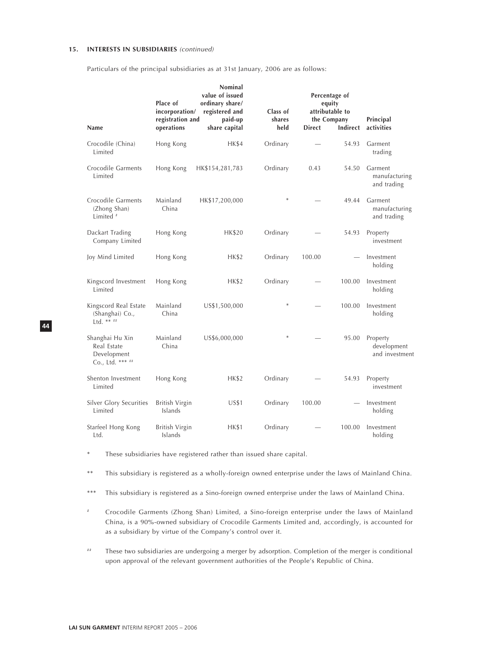### **15. INTERESTS IN SUBSIDIARIES** (continued)

Particulars of the principal subsidiaries as at 31st January, 2006 are as follows:

| Name                                                              | Place of<br>incorporation/<br>registration and<br>operations | Nominal<br>value of issued<br>ordinary share/<br>registered and<br>paid-up<br>share capital | Class of<br>shares<br>held | <b>Direct</b> | Percentage of<br>equity<br>attributable to<br>the Company<br><b>Indirect</b> | Principal<br>activities                   |
|-------------------------------------------------------------------|--------------------------------------------------------------|---------------------------------------------------------------------------------------------|----------------------------|---------------|------------------------------------------------------------------------------|-------------------------------------------|
| Crocodile (China)<br>Limited                                      | Hong Kong                                                    | <b>HK\$4</b>                                                                                | Ordinary                   |               | 54.93                                                                        | Garment<br>trading                        |
| Crocodile Garments<br>Limited                                     | Hong Kong                                                    | HK\$154,281,783                                                                             | Ordinary                   | 0.43          | 54.50                                                                        | Garment<br>manufacturing<br>and trading   |
| Crocodile Garments<br>(Zhong Shan)<br>Limited <sup>#</sup>        | Mainland<br>China                                            | HK\$17,200,000                                                                              |                            |               | 49.44                                                                        | Garment<br>manufacturing<br>and trading   |
| Dackart Trading<br>Company Limited                                | Hong Kong                                                    | <b>HK\$20</b>                                                                               | Ordinary                   |               | 54.93                                                                        | Property<br>investment                    |
| Joy Mind Limited                                                  | Hong Kong                                                    | HK\$2                                                                                       | Ordinary                   | 100.00        |                                                                              | Investment<br>holding                     |
| Kingscord Investment<br>Limited                                   | Hong Kong                                                    | <b>HK\$2</b>                                                                                | Ordinary                   |               | 100.00                                                                       | Investment<br>holding                     |
| Kingscord Real Estate<br>(Shanghai) Co.,<br>Ltd. ** $^{11}$       | Mainland<br>China                                            | US\$1,500,000                                                                               | $\ast$                     |               | 100.00                                                                       | Investment<br>holding                     |
| Shanghai Hu Xin<br>Real Estate<br>Development<br>Co., Ltd. *** ## | Mainland<br>China                                            | US\$6,000,000                                                                               | $\ast$                     |               | 95.00                                                                        | Property<br>development<br>and investment |
| Shenton Investment<br>Limited                                     | Hong Kong                                                    | HK\$2                                                                                       | Ordinary                   |               | 54.93                                                                        | Property<br>investment                    |
| Silver Glory Securities<br>Limited                                | British Virgin<br>Islands                                    | <b>US\$1</b>                                                                                | Ordinary                   | 100.00        |                                                                              | Investment<br>holding                     |
| Starfeel Hong Kong<br>Ltd.                                        | <b>British Virgin</b><br>Islands                             | <b>HK\$1</b>                                                                                | Ordinary                   |               | 100.00                                                                       | Investment<br>holding                     |

\* These subsidiaries have registered rather than issued share capital.

\*\* This subsidiary is registered as a wholly-foreign owned enterprise under the laws of Mainland China.

\*\*\* This subsidiary is registered as a Sino-foreign owned enterprise under the laws of Mainland China.

- # Crocodile Garments (Zhong Shan) Limited, a Sino-foreign enterprise under the laws of Mainland China, is a 90%-owned subsidiary of Crocodile Garments Limited and, accordingly, is accounted for as a subsidiary by virtue of the Company's control over it.
- ## These two subsidiaries are undergoing a merger by adsorption. Completion of the merger is conditional upon approval of the relevant government authorities of the People's Republic of China.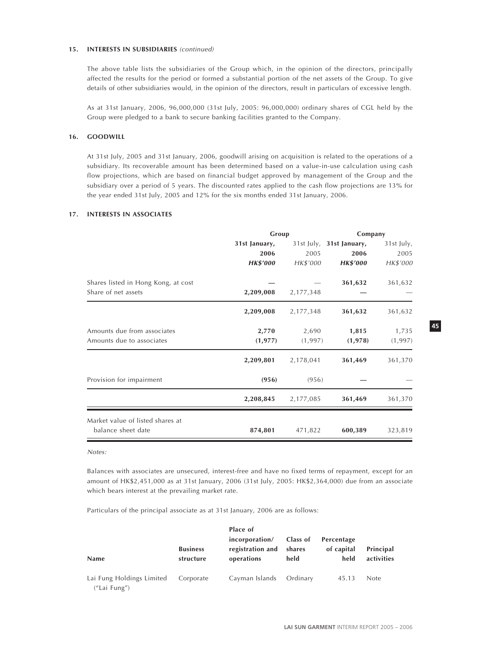#### **15. INTERESTS IN SUBSIDIARIES** (continued)

The above table lists the subsidiaries of the Group which, in the opinion of the directors, principally affected the results for the period or formed a substantial portion of the net assets of the Group. To give details of other subsidiaries would, in the opinion of the directors, result in particulars of excessive length.

As at 31st January, 2006, 96,000,000 (31st July, 2005: 96,000,000) ordinary shares of CGL held by the Group were pledged to a bank to secure banking facilities granted to the Company.

### **16. GOODWILL**

At 31st July, 2005 and 31st January, 2006, goodwill arising on acquisition is related to the operations of a subsidiary. Its recoverable amount has been determined based on a value-in-use calculation using cash flow projections, which are based on financial budget approved by management of the Group and the subsidiary over a period of 5 years. The discounted rates applied to the cash flow projections are 13% for the year ended 31st July, 2005 and 12% for the six months ended 31st January, 2006.

# **17. INTERESTS IN ASSOCIATES**

|                                     | Group           |           | Company                  |            |  |
|-------------------------------------|-----------------|-----------|--------------------------|------------|--|
|                                     | 31st January,   |           | 31st July, 31st January, | 31st July, |  |
|                                     | 2006            | 2005      | 2006                     | 2005       |  |
|                                     | <b>HK\$'000</b> | HK\$'000  | <b>HK\$'000</b>          | HK\$'000   |  |
| Shares listed in Hong Kong, at cost |                 |           | 361,632                  | 361,632    |  |
| Share of net assets                 | 2,209,008       | 2,177,348 |                          |            |  |
|                                     | 2,209,008       | 2,177,348 | 361,632                  | 361,632    |  |
| Amounts due from associates         | 2,770           | 2,690     | 1,815                    | 1,735      |  |
| Amounts due to associates           | (1, 977)        | (1,997)   | (1,978)                  | (1, 997)   |  |
|                                     | 2,209,801       | 2,178,041 | 361,469                  | 361,370    |  |
| Provision for impairment            | (956)           | (956)     |                          |            |  |
|                                     | 2,208,845       | 2,177,085 | 361,469                  | 361,370    |  |
| Market value of listed shares at    |                 |           |                          |            |  |
| balance sheet date                  | 874,801         | 471,822   | 600,389                  | 323,819    |  |

Notes:

Balances with associates are unsecured, interest-free and have no fixed terms of repayment, except for an amount of HK\$2,451,000 as at 31st January, 2006 (31st July, 2005: HK\$2,364,000) due from an associate which bears interest at the prevailing market rate.

Particulars of the principal associate as at 31st January, 2006 are as follows:

| <b>Name</b>                               | <b>Business</b><br>structure | Place of<br>incorporation/<br>registration and<br>operations | Class of<br>shares<br>held | Percentage<br>of capital<br>held | Principal<br>activities |
|-------------------------------------------|------------------------------|--------------------------------------------------------------|----------------------------|----------------------------------|-------------------------|
| Lai Fung Holdings Limited<br>("Lai Fung") | Corporate                    | Cayman Islands                                               | Ordinarv                   | 45.13                            | Note                    |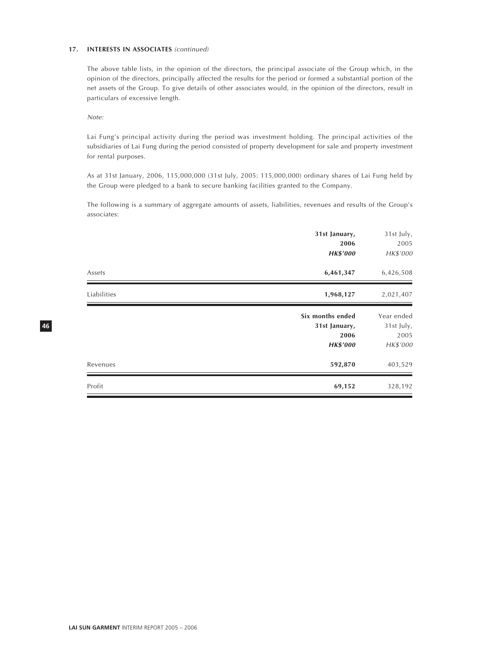### **17. INTERESTS IN ASSOCIATES** (continued)

The above table lists, in the opinion of the directors, the principal associate of the Group which, in the opinion of the directors, principally affected the results for the period or formed a substantial portion of the net assets of the Group. To give details of other associates would, in the opinion of the directors, result in particulars of excessive length.

Note:

**46**

Lai Fung's principal activity during the period was investment holding. The principal activities of the subsidiaries of Lai Fung during the period consisted of property development for sale and property investment for rental purposes.

As at 31st January, 2006, 115,000,000 (31st July, 2005: 115,000,000) ordinary shares of Lai Fung held by the Group were pledged to a bank to secure banking facilities granted to the Company.

The following is a summary of aggregate amounts of assets, liabilities, revenues and results of the Group's associates:

|             | 31st January,<br>2006<br><b>HK\$'000</b>                     | 31st July,<br>2005<br>HK\$'000               |
|-------------|--------------------------------------------------------------|----------------------------------------------|
| Assets      | 6,461,347                                                    | 6,426,508                                    |
| Liabilities | 1,968,127                                                    | 2,021,407                                    |
|             | Six months ended<br>31st January,<br>2006<br><b>HK\$'000</b> | Year ended<br>31st July,<br>2005<br>HK\$'000 |
| Revenues    | 592,870                                                      | 403,529                                      |
| Profit      | 69,152                                                       | 328,192                                      |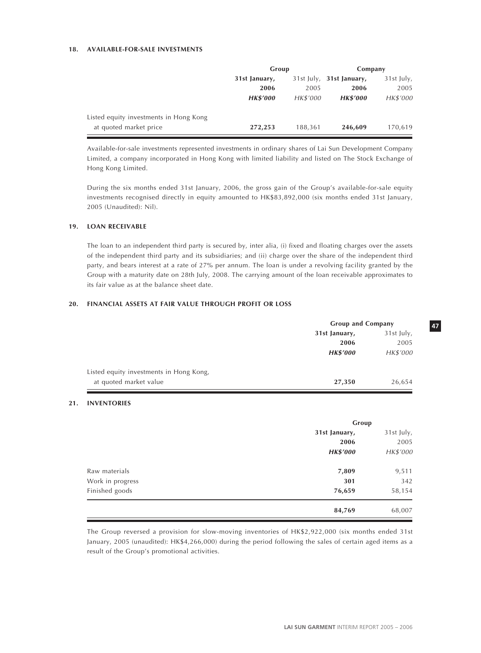# **18. AVAILABLE-FOR-SALE INVESTMENTS**

|                                        | Group           |          | Company                      |            |
|----------------------------------------|-----------------|----------|------------------------------|------------|
|                                        | 31st January,   |          | $31st$ July, $31st$ January, | 31st July, |
|                                        | 2006            | 2005     | 2006                         | 2005       |
|                                        | <b>HK\$'000</b> | HK\$'000 | <b>HK\$'000</b>              | HK\$'000   |
| Listed equity investments in Hong Kong |                 |          |                              |            |
| at quoted market price                 | 272,253         | 188,361  | 246,609                      | 170,619    |

Available-for-sale investments represented investments in ordinary shares of Lai Sun Development Company Limited, a company incorporated in Hong Kong with limited liability and listed on The Stock Exchange of Hong Kong Limited.

During the six months ended 31st January, 2006, the gross gain of the Group's available-for-sale equity investments recognised directly in equity amounted to HK\$83,892,000 (six months ended 31st January, 2005 (Unaudited): Nil).

### **19. LOAN RECEIVABLE**

The loan to an independent third party is secured by, inter alia, (i) fixed and floating charges over the assets of the independent third party and its subsidiaries; and (ii) charge over the share of the independent third party, and bears interest at a rate of 27% per annum. The loan is under a revolving facility granted by the Group with a maturity date on 28th July, 2008. The carrying amount of the loan receivable approximates to its fair value as at the balance sheet date.

# **20. FINANCIAL ASSETS AT FAIR VALUE THROUGH PROFIT OR LOSS**

|                                         | <b>Group and Company</b> |            |
|-----------------------------------------|--------------------------|------------|
|                                         | 31st January,            | 31st July, |
|                                         | 2006                     | 2005       |
|                                         | <b>HK\$'000</b>          | HK\$'000   |
| Listed equity investments in Hong Kong, |                          |            |
| at quoted market value                  | 27,350                   | 26,654     |

# **21. INVENTORIES**

|                  | Group           |            |
|------------------|-----------------|------------|
|                  | 31st January,   | 31st July, |
|                  | 2006            | 2005       |
|                  | <b>HK\$'000</b> | HK\$'000   |
| Raw materials    | 7,809           | 9,511      |
| Work in progress | 301             | 342        |
| Finished goods   | 76,659          | 58,154     |
|                  | 84,769          | 68,007     |

The Group reversed a provision for slow-moving inventories of HK\$2,922,000 (six months ended 31st January, 2005 (unaudited): HK\$4,266,000) during the period following the sales of certain aged items as a result of the Group's promotional activities.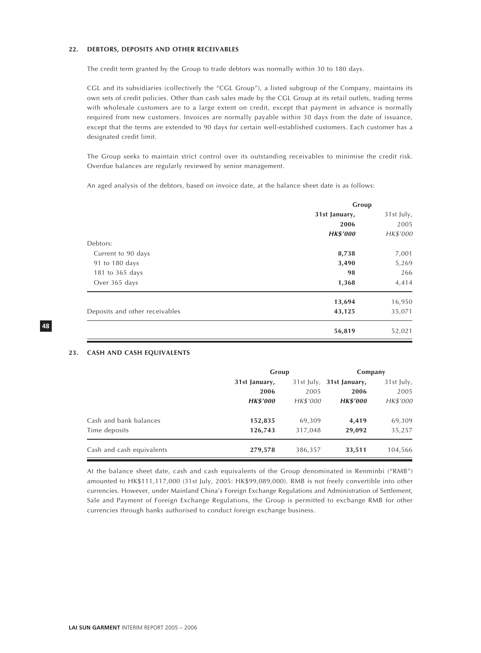### **22. DEBTORS, DEPOSITS AND OTHER RECEIVABLES**

The credit term granted by the Group to trade debtors was normally within 30 to 180 days.

CGL and its subsidiaries (collectively the "CGL Group"), a listed subgroup of the Company, maintains its own sets of credit policies. Other than cash sales made by the CGL Group at its retail outlets, trading terms with wholesale customers are to a large extent on credit, except that payment in advance is normally required from new customers. Invoices are normally payable within 30 days from the date of issuance, except that the terms are extended to 90 days for certain well-established customers. Each customer has a designated credit limit.

The Group seeks to maintain strict control over its outstanding receivables to minimise the credit risk. Overdue balances are regularly reviewed by senior management.

An aged analysis of the debtors, based on invoice date, at the balance sheet date is as follows:

|                                | Group           |            |  |
|--------------------------------|-----------------|------------|--|
|                                | 31st January,   | 31st July, |  |
|                                | 2006            | 2005       |  |
|                                | <b>HK\$'000</b> | HK\$'000   |  |
| Debtors:                       |                 |            |  |
| Current to 90 days             | 8,738           | 7,001      |  |
| 91 to 180 days                 | 3,490           | 5,269      |  |
| 181 to 365 days                | 98              | 266        |  |
| Over 365 days                  | 1,368           | 4,414      |  |
|                                | 13,694          | 16,950     |  |
| Deposits and other receivables | 43,125          | 35,071     |  |
|                                | 56,819          | 52,021     |  |

# **23. CASH AND CASH EQUIVALENTS**

|                           | Group           |              | Company         |            |
|---------------------------|-----------------|--------------|-----------------|------------|
|                           | 31st January,   | $31st$ July, | 31st January,   | 31st July, |
|                           | 2006            | 2005         | 2006            | 2005       |
|                           | <b>HK\$'000</b> | HK\$'000     | <b>HK\$'000</b> | HK\$'000   |
| Cash and bank balances    | 152,835         | 69,309       | 4.419           | 69,309     |
| Time deposits             | 126,743         | 317,048      | 29,092          | 35,257     |
| Cash and cash equivalents | 279,578         | 386,357      | 33,511          | 104,566    |

At the balance sheet date, cash and cash equivalents of the Group denominated in Renminbi ("RMB") amounted to HK\$111,117,000 (31st July, 2005: HK\$99,089,000). RMB is not freely convertible into other currencies. However, under Mainland China's Foreign Exchange Regulations and Administration of Settlement, Sale and Payment of Foreign Exchange Regulations, the Group is permitted to exchange RMB for other currencies through banks authorised to conduct foreign exchange business.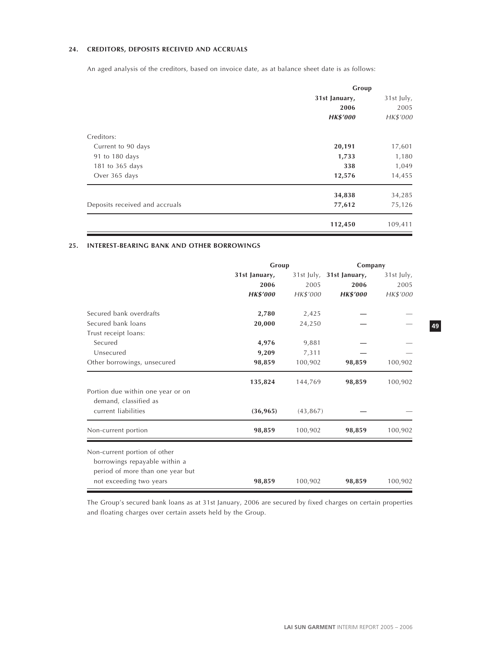# **24. CREDITORS, DEPOSITS RECEIVED AND ACCRUALS**

An aged analysis of the creditors, based on invoice date, as at balance sheet date is as follows:

|                                | Group           |            |  |
|--------------------------------|-----------------|------------|--|
|                                | 31st January,   | 31st July, |  |
|                                | 2006            | 2005       |  |
|                                | <b>HK\$'000</b> | HK\$'000   |  |
| Creditors:                     |                 |            |  |
| Current to 90 days             | 20,191          | 17,601     |  |
| 91 to 180 days                 | 1,733           | 1,180      |  |
| 181 to 365 days                | 338             | 1,049      |  |
| Over 365 days                  | 12,576          | 14,455     |  |
|                                | 34,838          | 34,285     |  |
| Deposits received and accruals | 77,612          | 75,126     |  |
|                                | 112,450         | 109,411    |  |

# **25. INTEREST-BEARING BANK AND OTHER BORROWINGS**

|                                   | Group           |           | Company                  |            |
|-----------------------------------|-----------------|-----------|--------------------------|------------|
|                                   | 31st January,   |           | 31st July, 31st January, | 31st July, |
|                                   | 2006            | 2005      | 2006                     | 2005       |
|                                   | <b>HK\$'000</b> | HK\$'000  | <b>HK\$'000</b>          | HK\$'000   |
| Secured bank overdrafts           | 2,780           | 2,425     |                          |            |
| Secured bank loans                | 20,000          | 24,250    |                          |            |
| Trust receipt loans:              |                 |           |                          |            |
| Secured                           | 4,976           | 9,881     |                          |            |
| Unsecured                         | 9,209           | 7,311     |                          |            |
| Other borrowings, unsecured       | 98,859          | 100,902   | 98,859                   | 100,902    |
|                                   | 135,824         | 144,769   | 98,859                   | 100,902    |
| Portion due within one year or on |                 |           |                          |            |
| demand, classified as             |                 |           |                          |            |
| current liabilities               | (36, 965)       | (43, 867) |                          |            |
| Non-current portion               | 98,859          | 100,902   | 98,859                   | 100,902    |
| Non-current portion of other      |                 |           |                          |            |
| borrowings repayable within a     |                 |           |                          |            |
| period of more than one year but  |                 |           |                          |            |
| not exceeding two years           | 98,859          | 100,902   | 98,859                   | 100,902    |

The Group's secured bank loans as at 31st January, 2006 are secured by fixed charges on certain properties and floating charges over certain assets held by the Group.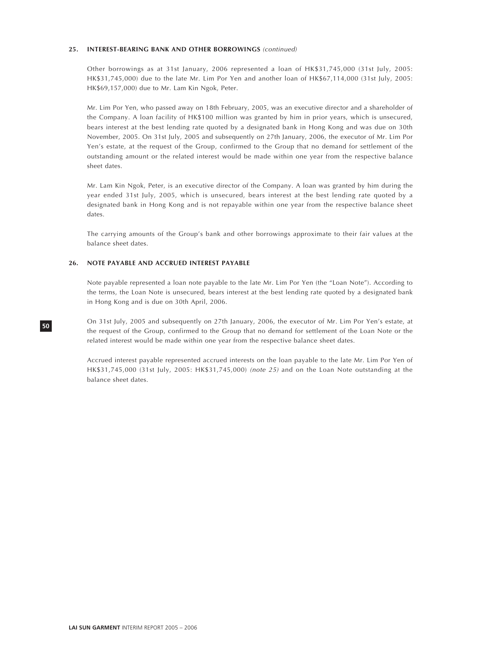#### **25. INTEREST-BEARING BANK AND OTHER BORROWINGS** (continued)

Other borrowings as at 31st January, 2006 represented a loan of HK\$31,745,000 (31st July, 2005: HK\$31,745,000) due to the late Mr. Lim Por Yen and another loan of HK\$67,114,000 (31st July, 2005: HK\$69,157,000) due to Mr. Lam Kin Ngok, Peter.

Mr. Lim Por Yen, who passed away on 18th February, 2005, was an executive director and a shareholder of the Company. A loan facility of HK\$100 million was granted by him in prior years, which is unsecured, bears interest at the best lending rate quoted by a designated bank in Hong Kong and was due on 30th November, 2005. On 31st July, 2005 and subsequently on 27th January, 2006, the executor of Mr. Lim Por Yen's estate, at the request of the Group, confirmed to the Group that no demand for settlement of the outstanding amount or the related interest would be made within one year from the respective balance sheet dates.

Mr. Lam Kin Ngok, Peter, is an executive director of the Company. A loan was granted by him during the year ended 31st July, 2005, which is unsecured, bears interest at the best lending rate quoted by a designated bank in Hong Kong and is not repayable within one year from the respective balance sheet dates.

The carrying amounts of the Group's bank and other borrowings approximate to their fair values at the balance sheet dates.

# **26. NOTE PAYABLE AND ACCRUED INTEREST PAYABLE**

Note payable represented a loan note payable to the late Mr. Lim Por Yen (the "Loan Note"). According to the terms, the Loan Note is unsecured, bears interest at the best lending rate quoted by a designated bank in Hong Kong and is due on 30th April, 2006.

On 31st July, 2005 and subsequently on 27th January, 2006, the executor of Mr. Lim Por Yen's estate, at the request of the Group, confirmed to the Group that no demand for settlement of the Loan Note or the related interest would be made within one year from the respective balance sheet dates.

Accrued interest payable represented accrued interests on the loan payable to the late Mr. Lim Por Yen of HK\$31,745,000 (31st July, 2005: HK\$31,745,000) (note 25) and on the Loan Note outstanding at the balance sheet dates.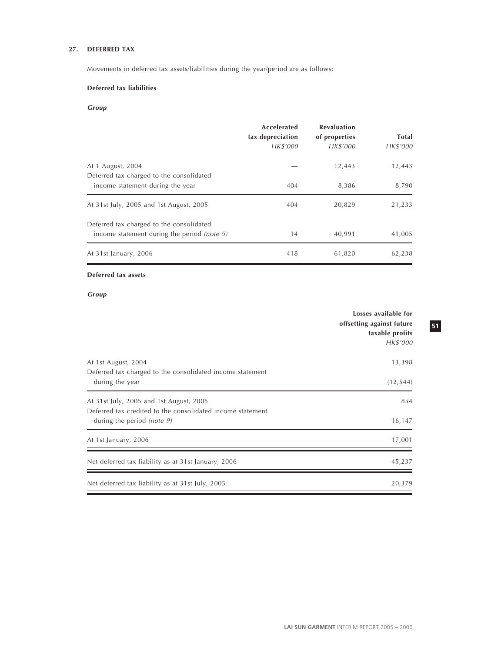# **27. DEFERRED TAX**

Movements in deferred tax assets/liabilities during the year/period are as follows:

# **Deferred tax liabilities**

# **Group**

|                                                                                         | Accelerated<br>tax depreciation<br>HK\$'000 | <b>Revaluation</b><br>of properties<br>HK\$'000 | <b>Total</b><br>HK\$'000 |
|-----------------------------------------------------------------------------------------|---------------------------------------------|-------------------------------------------------|--------------------------|
| At 1 August, 2004<br>Deferred tax charged to the consolidated                           |                                             | 12,443                                          | 12,443                   |
| income statement during the year                                                        | 404                                         | 8,386                                           | 8,790                    |
| At 31st July, 2005 and 1st August, 2005                                                 | 404                                         | 20,829                                          | 21,233                   |
| Deferred tax charged to the consolidated<br>income statement during the period (note 9) | 14                                          | 40,991                                          | 41,005                   |
| At 31st January, 2006                                                                   | 418                                         | 61,820                                          | 62,238                   |

# **Deferred tax assets**

**Group**

|                                                                                                                                        | Losses available for<br>offsetting against future<br>taxable profits<br>HK\$'000 |
|----------------------------------------------------------------------------------------------------------------------------------------|----------------------------------------------------------------------------------|
| At 1st August, 2004<br>Deferred tax charged to the consolidated income statement                                                       | 13,398                                                                           |
| during the year                                                                                                                        | (12, 544)                                                                        |
| At 31st July, 2005 and 1st August, 2005<br>Deferred tax credited to the consolidated income statement<br>during the period (note $9$ ) | 854<br>16,147                                                                    |
| At 1st January, 2006                                                                                                                   | 17,001                                                                           |
| Net deferred tax liability as at 31st January, 2006                                                                                    | 45,237                                                                           |
| Net deferred tax liability as at 31st July, 2005                                                                                       | 20,379                                                                           |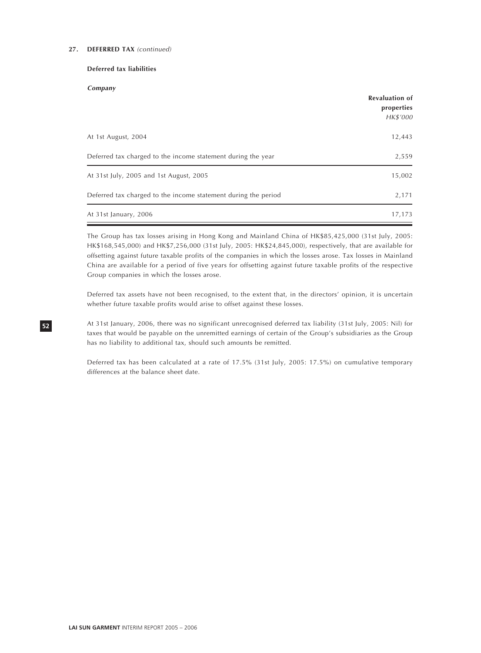# **27. DEFERRED TAX** (continued)

# **Deferred tax liabilities**

**Company**

|                                                                | <b>Revaluation of</b><br>properties |
|----------------------------------------------------------------|-------------------------------------|
|                                                                | HK\$'000                            |
| At 1st August, 2004                                            | 12,443                              |
| Deferred tax charged to the income statement during the year   | 2,559                               |
| At 31st July, 2005 and 1st August, 2005                        | 15,002                              |
| Deferred tax charged to the income statement during the period | 2,171                               |
| At 31st January, 2006                                          | 17,173                              |

The Group has tax losses arising in Hong Kong and Mainland China of HK\$85,425,000 (31st July, 2005: HK\$168,545,000) and HK\$7,256,000 (31st July, 2005: HK\$24,845,000), respectively, that are available for offsetting against future taxable profits of the companies in which the losses arose. Tax losses in Mainland China are available for a period of five years for offsetting against future taxable profits of the respective Group companies in which the losses arose.

Deferred tax assets have not been recognised, to the extent that, in the directors' opinion, it is uncertain whether future taxable profits would arise to offset against these losses.

At 31st January, 2006, there was no significant unrecognised deferred tax liability (31st July, 2005: Nil) for taxes that would be payable on the unremitted earnings of certain of the Group's subsidiaries as the Group has no liability to additional tax, should such amounts be remitted.

Deferred tax has been calculated at a rate of 17.5% (31st July, 2005: 17.5%) on cumulative temporary differences at the balance sheet date.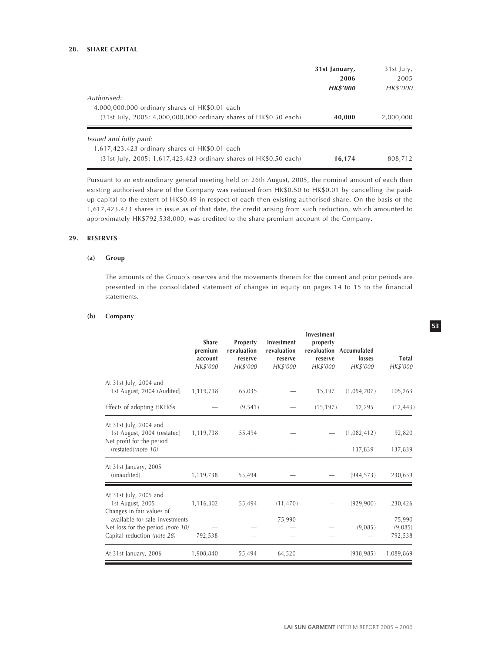# **28. SHARE CAPITAL**

|                                                                   | 31st January,   | 31st July,<br>2005 |  |
|-------------------------------------------------------------------|-----------------|--------------------|--|
|                                                                   | 2006            |                    |  |
|                                                                   | <b>HK\$'000</b> | HK\$'000           |  |
| Authorised:                                                       |                 |                    |  |
| 4,000,000,000 ordinary shares of HK\$0.01 each                    |                 |                    |  |
| (31st July, 2005: 4,000,000,000 ordinary shares of HK\$0.50 each) | 40,000          | 2,000,000          |  |
| <i>Issued and fully paid:</i>                                     |                 |                    |  |
| 1,617,423,423 ordinary shares of HK\$0.01 each                    |                 |                    |  |
|                                                                   |                 |                    |  |
| (31st July, 2005: 1,617,423,423 ordinary shares of HK\$0.50 each) | 16,174          | 808.712            |  |

Pursuant to an extraordinary general meeting held on 26th August, 2005, the nominal amount of each then existing authorised share of the Company was reduced from HK\$0.50 to HK\$0.01 by cancelling the paidup capital to the extent of HK\$0.49 in respect of each then existing authorised share. On the basis of the 1,617,423,423 shares in issue as of that date, the credit arising from such reduction, which amounted to approximately HK\$792,538,000, was credited to the share premium account of the Company.

# **29. RESERVES**

# **(a) Group**

The amounts of the Group's reserves and the movements therein for the current and prior periods are presented in the consolidated statement of changes in equity on pages 14 to 15 to the financial statements.

### **(b) Company**

|                                                                                                                                                                               | <b>Share</b><br>premium<br>account<br>HK\$'000 | Property<br>revaluation<br>reserve<br>HK\$'000 | Investment<br>revaluation<br>reserve<br>HK\$'000 | Investment<br>property<br>reserve<br>HK\$'000 | revaluation Accumulated<br>losses<br>HK\$'000 | <b>Total</b><br>HK\$'000                |
|-------------------------------------------------------------------------------------------------------------------------------------------------------------------------------|------------------------------------------------|------------------------------------------------|--------------------------------------------------|-----------------------------------------------|-----------------------------------------------|-----------------------------------------|
| At 31st July, 2004 and<br>1st August, 2004 (Audited)                                                                                                                          | 1,119,738                                      | 65,035                                         |                                                  | 15,197                                        | (1,094,707)                                   | 105,263                                 |
| Effects of adopting HKFRSs                                                                                                                                                    |                                                | (9, 541)                                       |                                                  | (15, 197)                                     | 12,295                                        | (12, 443)                               |
| At 31st July, 2004 and<br>1st August, 2004 (restated)<br>Net profit for the period<br>(restated)(note 10)                                                                     | 1,119,738                                      | 55,494                                         |                                                  |                                               | (1,082,412)<br>137,839                        | 92,820<br>137,839                       |
| At 31st January, 2005<br>(unaudited)                                                                                                                                          | 1,119,738                                      | 55,494                                         |                                                  |                                               | (944, 573)                                    | 230,659                                 |
| At 31st July, 2005 and<br>1st August, 2005<br>Changes in fair values of<br>available-for-sale investments<br>Net loss for the period (note 10)<br>Capital reduction (note 28) | 1,116,302<br>792,538                           | 55,494                                         | (11, 470)<br>75,990                              |                                               | (929, 900)<br>(9,085)                         | 230,426<br>75,990<br>(9,085)<br>792,538 |
| At 31st January, 2006                                                                                                                                                         | 1,908,840                                      | 55,494                                         | 64,520                                           |                                               | (938, 985)                                    | 1,089,869                               |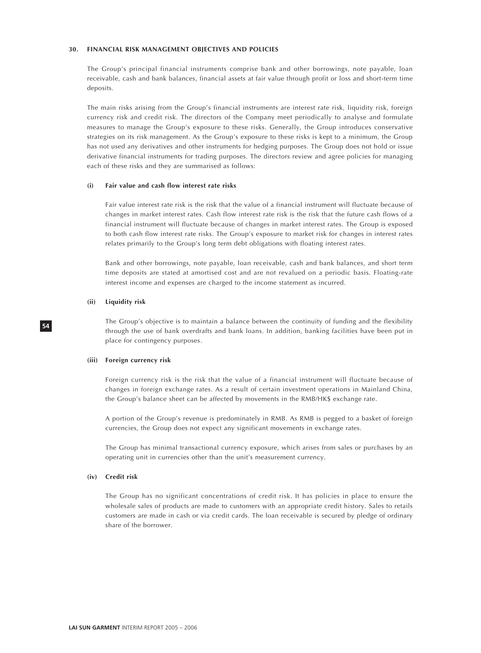#### **30. FINANCIAL RISK MANAGEMENT OBJECTIVES AND POLICIES**

The Group's principal financial instruments comprise bank and other borrowings, note payable, loan receivable, cash and bank balances, financial assets at fair value through profit or loss and short-term time deposits.

The main risks arising from the Group's financial instruments are interest rate risk, liquidity risk, foreign currency risk and credit risk. The directors of the Company meet periodically to analyse and formulate measures to manage the Group's exposure to these risks. Generally, the Group introduces conservative strategies on its risk management. As the Group's exposure to these risks is kept to a minimum, the Group has not used any derivatives and other instruments for hedging purposes. The Group does not hold or issue derivative financial instruments for trading purposes. The directors review and agree policies for managing each of these risks and they are summarised as follows:

### **(i) Fair value and cash flow interest rate risks**

Fair value interest rate risk is the risk that the value of a financial instrument will fluctuate because of changes in market interest rates. Cash flow interest rate risk is the risk that the future cash flows of a financial instrument will fluctuate because of changes in market interest rates. The Group is exposed to both cash flow interest rate risks. The Group's exposure to market risk for changes in interest rates relates primarily to the Group's long term debt obligations with floating interest rates.

Bank and other borrowings, note payable, loan receivable, cash and bank balances, and short term time deposits are stated at amortised cost and are not revalued on a periodic basis. Floating-rate interest income and expenses are charged to the income statement as incurred.

#### **(ii) Liquidity risk**

**54**

The Group's objective is to maintain a balance between the continuity of funding and the flexibility through the use of bank overdrafts and bank loans. In addition, banking facilities have been put in place for contingency purposes.

#### **(iii) Foreign currency risk**

Foreign currency risk is the risk that the value of a financial instrument will fluctuate because of changes in foreign exchange rates. As a result of certain investment operations in Mainland China, the Group's balance sheet can be affected by movements in the RMB/HK\$ exchange rate.

A portion of the Group's revenue is predominately in RMB. As RMB is pegged to a basket of foreign currencies, the Group does not expect any significant movements in exchange rates.

The Group has minimal transactional currency exposure, which arises from sales or purchases by an operating unit in currencies other than the unit's measurement currency.

#### **(iv) Credit risk**

The Group has no significant concentrations of credit risk. It has policies in place to ensure the wholesale sales of products are made to customers with an appropriate credit history. Sales to retails customers are made in cash or via credit cards. The loan receivable is secured by pledge of ordinary share of the borrower.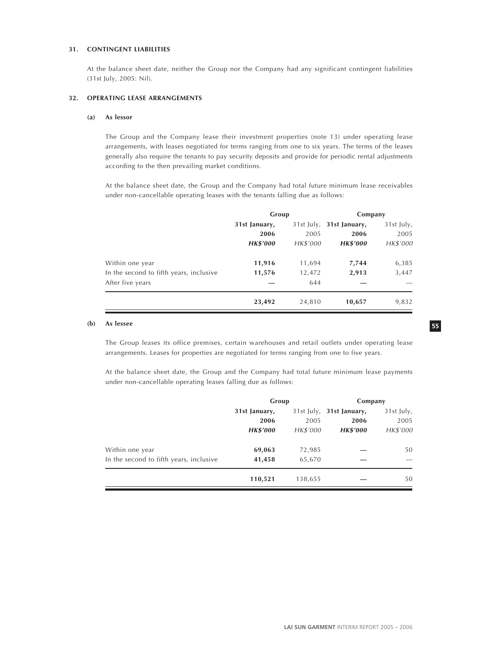# **31. CONTINGENT LIABILITIES**

At the balance sheet date, neither the Group nor the Company had any significant contingent liabilities (31st July, 2005: Nil).

### **32. OPERATING LEASE ARRANGEMENTS**

#### **(a) As lessor**

The Group and the Company lease their investment properties (note 13) under operating lease arrangements, with leases negotiated for terms ranging from one to six years. The terms of the leases generally also require the tenants to pay security deposits and provide for periodic rental adjustments according to the then prevailing market conditions.

At the balance sheet date, the Group and the Company had total future minimum lease receivables under non-cancellable operating leases with the tenants falling due as follows:

|                                         | Group           |          | Company                  |            |
|-----------------------------------------|-----------------|----------|--------------------------|------------|
|                                         | 31st January,   |          | 31st July, 31st January, | 31st July, |
|                                         | 2006            | 2005     | 2006                     | 2005       |
|                                         | <b>HK\$'000</b> | HK\$'000 | <b>HK\$'000</b>          | HK\$'000   |
| Within one year                         | 11,916          | 11,694   | 7,744                    | 6,385      |
| In the second to fifth years, inclusive | 11,576          | 12,472   | 2,913                    | 3,447      |
| After five years                        |                 | 644      |                          |            |
|                                         | 23,492          | 24,810   | 10,657                   | 9,832      |

#### **(b) As lessee**

The Group leases its office premises, certain warehouses and retail outlets under operating lease arrangements. Leases for properties are negotiated for terms ranging from one to five years.

At the balance sheet date, the Group and the Company had total future minimum lease payments under non-cancellable operating leases falling due as follows:

|                                         | Group           |          | Company                  |            |
|-----------------------------------------|-----------------|----------|--------------------------|------------|
|                                         | 31st January,   |          | 31st July, 31st January, | 31st July, |
|                                         | 2006            | 2005     | 2006                     | 2005       |
|                                         | <b>HK\$'000</b> | HK\$'000 | <b>HK\$'000</b>          | HK\$'000   |
| Within one year                         | 69,063          | 72,985   |                          | 50         |
| In the second to fifth years, inclusive | 41,458          | 65,670   |                          |            |
|                                         | 110,521         | 138,655  |                          | 50         |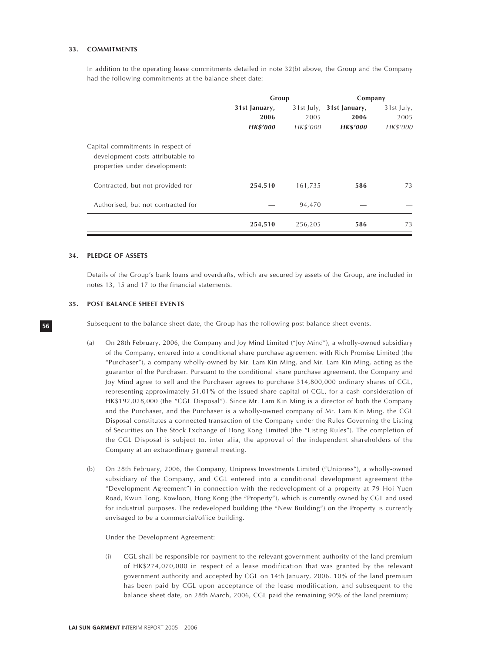#### **33. COMMITMENTS**

In addition to the operating lease commitments detailed in note 32(b) above, the Group and the Company had the following commitments at the balance sheet date:

|                                                                                                         | Group           |              | Company         |            |
|---------------------------------------------------------------------------------------------------------|-----------------|--------------|-----------------|------------|
|                                                                                                         | 31st January,   | $31st$ July, | 31st January,   | 31st July, |
|                                                                                                         | 2006            | 2005         | 2006            | 2005       |
|                                                                                                         | <b>HK\$'000</b> | HK\$'000     | <b>HK\$'000</b> | HK\$'000   |
| Capital commitments in respect of<br>development costs attributable to<br>properties under development: |                 |              |                 |            |
| Contracted, but not provided for                                                                        | 254,510         | 161,735      | 586             | 73         |
| Authorised, but not contracted for                                                                      |                 | 94,470       |                 |            |
|                                                                                                         | 254,510         | 256,205      | 586             | 73         |

### **34. PLEDGE OF ASSETS**

Details of the Group's bank loans and overdrafts, which are secured by assets of the Group, are included in notes 13, 15 and 17 to the financial statements.

# **35. POST BALANCE SHEET EVENTS**

Subsequent to the balance sheet date, the Group has the following post balance sheet events.

- (a) On 28th February, 2006, the Company and Joy Mind Limited ("Joy Mind"), a wholly-owned subsidiary of the Company, entered into a conditional share purchase agreement with Rich Promise Limited (the "Purchaser"), a company wholly-owned by Mr. Lam Kin Ming, and Mr. Lam Kin Ming, acting as the guarantor of the Purchaser. Pursuant to the conditional share purchase agreement, the Company and Joy Mind agree to sell and the Purchaser agrees to purchase 314,800,000 ordinary shares of CGL, representing approximately 51.01% of the issued share capital of CGL, for a cash consideration of HK\$192,028,000 (the "CGL Disposal"). Since Mr. Lam Kin Ming is a director of both the Company and the Purchaser, and the Purchaser is a wholly-owned company of Mr. Lam Kin Ming, the CGL Disposal constitutes a connected transaction of the Company under the Rules Governing the Listing of Securities on The Stock Exchange of Hong Kong Limited (the "Listing Rules"). The completion of the CGL Disposal is subject to, inter alia, the approval of the independent shareholders of the Company at an extraordinary general meeting.
- (b) On 28th February, 2006, the Company, Unipress Investments Limited ("Unipress"), a wholly-owned subsidiary of the Company, and CGL entered into a conditional development agreement (the "Development Agreement") in connection with the redevelopment of a property at 79 Hoi Yuen Road, Kwun Tong, Kowloon, Hong Kong (the "Property"), which is currently owned by CGL and used for industrial purposes. The redeveloped building (the "New Building") on the Property is currently envisaged to be a commercial/office building.

Under the Development Agreement:

(i) CGL shall be responsible for payment to the relevant government authority of the land premium of HK\$274,070,000 in respect of a lease modification that was granted by the relevant government authority and accepted by CGL on 14th January, 2006. 10% of the land premium has been paid by CGL upon acceptance of the lease modification, and subsequent to the balance sheet date, on 28th March, 2006, CGL paid the remaining 90% of the land premium;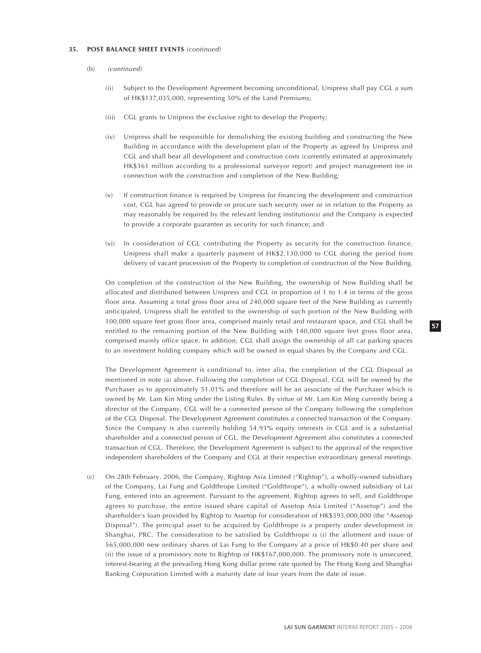#### **35. POST BALANCE SHEET EVENTS** (continued)

- (b) (continued)
	- (ii) Subject to the Development Agreement becoming unconditional, Unipress shall pay CGL a sum of HK\$137,035,000, representing 50% of the Land Premiums;
	- (iii) CGL grants to Unipress the exclusive right to develop the Property;
	- (iv) Unipress shall be responsible for demolishing the existing building and constructing the New Building in accordance with the development plan of the Property as agreed by Unipress and CGL and shall bear all development and construction costs (currently estimated at approximately HK\$361 million according to a professional surveyor report) and project management fee in connection with the construction and completion of the New Building;
	- (v) If construction finance is required by Unipress for financing the development and construction cost, CGL has agreed to provide or procure such security over or in relation to the Property as may reasonably be required by the relevant lending institution(s) and the Company is expected to provide a corporate guarantee as security for such finance; and
	- (vi) In consideration of CGL contributing the Property as security for the construction finance, Unipress shall make a quarterly payment of HK\$2,130,000 to CGL during the period from delivery of vacant procession of the Property to completion of construction of the New Building.

On completion of the construction of the New Building, the ownership of New Building shall be allocated and distributed between Unipress and CGL in proportion of 1 to 1.4 in terms of the gross floor area. Assuming a total gross floor area of 240,000 square feet of the New Building as currently anticipated, Unipress shall be entitled to the ownership of such portion of the New Building with 100,000 square feet gross floor area, comprised mainly retail and restaurant space, and CGL shall be entitled to the remaining portion of the New Building with 140,000 square feet gross floor area, comprised mainly office space. In addition, CGL shall assign the ownership of all car parking spaces to an investment holding company which will be owned in equal shares by the Company and CGL.

The Development Agreement is conditional to, inter alia, the completion of the CGL Disposal as mentioned in note (a) above. Following the completion of CGL Disposal, CGL will be owned by the Purchaser as to approximately 51.01% and therefore will be an associate of the Purchaser which is owned by Mr. Lam Kin Ming under the Listing Rules. By virtue of Mr. Lam Kin Ming currently being a director of the Company, CGL will be a connected person of the Company following the completion of the CGL Disposal. The Development Agreement constitutes a connected transaction of the Company. Since the Company is also currently holding 54.93% equity interests in CGL and is a substantial shareholder and a connected person of CGL, the Development Agreement also constitutes a connected transaction of CGL. Therefore, the Development Agreement is subject to the approval of the respective independent shareholders of the Company and CGL at their respective extraordinary general meetings.

(c) On 28th February. 2006, the Company, Rightop Asia Limited ("Rightop"), a wholly-owned subsidiary of the Company, Lai Fung and Goldthrope Limited ("Goldthrope"), a wholly-owned subsidiary of Lai Fung, entered into an agreement. Pursuant to the agreement, Rightop agrees to sell, and Goldthrope agrees to purchase, the entire issued share capital of Assetop Asia Limited ("Assetop") and the shareholder's loan provided by Rightop to Assetop for consideration of HK\$393,000,000 (the "Assetop Disposal"). The principal asset to be acquired by Goldthrope is a property under development in Shanghai, PRC. The consideration to be satisfied by Goldthrope is (i) the allotment and issue of 565,000,000 new ordinary shares of Lai Fung to the Company at a price of HK\$0.40 per share and (ii) the issue of a promissory note to Rightop of HK\$167,000,000. The promissory note is unsecured, interest-bearing at the prevailing Hong Kong dollar prime rate quoted by The Hong Kong and Shanghai Banking Corporation Limited with a maturity date of four years from the date of issue.